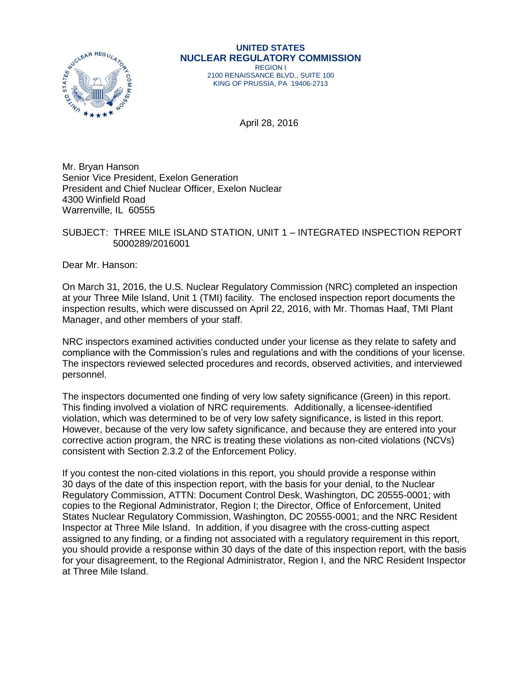

#### **UNITED STATES NUCLEAR REGULATORY COMMISSION** REGION I

2100 RENAISSANCE BLVD., SUITE 100 KING OF PRUSSIA, PA 19406-2713

April 28, 2016

Mr. Bryan Hanson Senior Vice President, Exelon Generation President and Chief Nuclear Officer, Exelon Nuclear 4300 Winfield Road Warrenville, IL 60555

## SUBJECT: THREE MILE ISLAND STATION, UNIT 1 – INTEGRATED INSPECTION REPORT 5000289/2016001

Dear Mr. Hanson:

On March 31, 2016, the U.S. Nuclear Regulatory Commission (NRC) completed an inspection at your Three Mile Island, Unit 1 (TMI) facility. The enclosed inspection report documents the inspection results, which were discussed on April 22, 2016, with Mr. Thomas Haaf, TMI Plant Manager, and other members of your staff.

NRC inspectors examined activities conducted under your license as they relate to safety and compliance with the Commission's rules and regulations and with the conditions of your license. The inspectors reviewed selected procedures and records, observed activities, and interviewed personnel.

The inspectors documented one finding of very low safety significance (Green) in this report. This finding involved a violation of NRC requirements. Additionally, a licensee-identified violation, which was determined to be of very low safety significance, is listed in this report. However, because of the very low safety significance, and because they are entered into your corrective action program, the NRC is treating these violations as non-cited violations (NCVs) consistent with Section 2.3.2 of the Enforcement Policy.

If you contest the non-cited violations in this report, you should provide a response within 30 days of the date of this inspection report, with the basis for your denial, to the Nuclear Regulatory Commission, ATTN: Document Control Desk, Washington, DC 20555-0001; with copies to the Regional Administrator, Region I; the Director, Office of Enforcement, United States Nuclear Regulatory Commission, Washington, DC 20555-0001; and the NRC Resident Inspector at Three Mile Island. In addition, if you disagree with the cross-cutting aspect assigned to any finding, or a finding not associated with a regulatory requirement in this report, you should provide a response within 30 days of the date of this inspection report, with the basis for your disagreement, to the Regional Administrator, Region I, and the NRC Resident Inspector at Three Mile Island.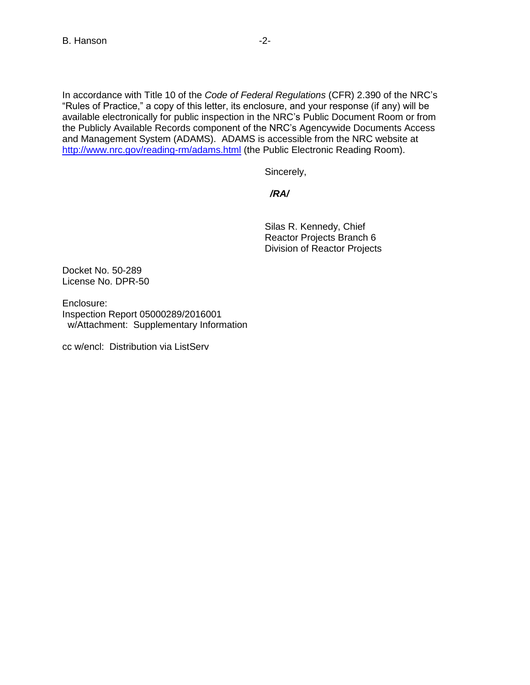In accordance with Title 10 of the *Code of Federal Regulations* (CFR) 2.390 of the NRC's "Rules of Practice," a copy of this letter, its enclosure, and your response (if any) will be available electronically for public inspection in the NRC's Public Document Room or from the Publicly Available Records component of the NRC's Agencywide Documents Access and Management System (ADAMS). ADAMS is accessible from the NRC website at <http://www.nrc.gov/reading-rm/adams.html> (the Public Electronic Reading Room).

Sincerely,

 */RA/*

Silas R. Kennedy, Chief Reactor Projects Branch 6 Division of Reactor Projects

Docket No. 50-289 License No. DPR-50

Enclosure: Inspection Report 05000289/2016001 w/Attachment: Supplementary Information

cc w/encl: Distribution via ListServ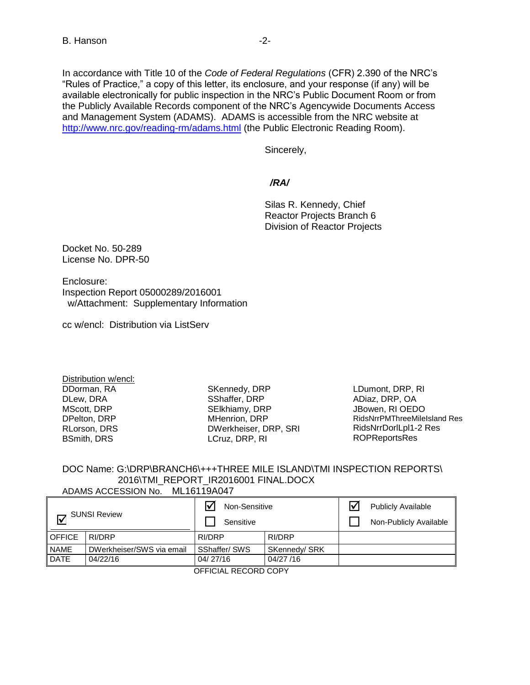Sincerely,

 */RA/*

Silas R. Kennedy, Chief Reactor Projects Branch 6 Division of Reactor Projects

Docket No. 50-289 License No. DPR-50

Enclosure: Inspection Report 05000289/2016001 w/Attachment: Supplementary Information

cc w/encl: Distribution via ListServ

Distribution w/encl: DDorman, RA DLew, DRA MScott, DRP DPelton, DRP RLorson, DRS BSmith, DRS

SKennedy, DRP SShaffer, DRP SElkhiamy, DRP MHenrion, DRP DWerkheiser, DRP, SRI LCruz, DRP, RI

LDumont, DRP, RI ADiaz, DRP, OA JBowen, RI OEDO RidsNrrPMThreeMileIsland Res RidsNrrDorlLpl1-2 Res ROPReportsRes

#### DOC Name: G:\DRP\BRANCH6\+++THREE MILE ISLAND\TMI INSPECTION REPORTS\ 2016\TMI\_REPORT\_IR2016001 FINAL.DOCX ADAMS ACCESSION No. ML16119A047

|                           | _________________________ |                            |               |  |                                                     |  |
|---------------------------|---------------------------|----------------------------|---------------|--|-----------------------------------------------------|--|
| <b>SUNSI Review</b><br>l۷ |                           | Non-Sensitive<br>Sensitive |               |  | <b>Publicly Available</b><br>Non-Publicly Available |  |
| <b>OFFICE</b>             | RI/DRP                    | RI/DRP                     | RI/DRP        |  |                                                     |  |
| <b>NAME</b>               | DWerkheiser/SWS via email | SShaffer/SWS               | SKennedy/ SRK |  |                                                     |  |
| <b>DATE</b>               | 04/22/16                  | 04/27/16<br>04/27/16       |               |  |                                                     |  |
|                           | AFFIQUU BEAQDD AQDV       |                            |               |  |                                                     |  |

OFFICIAL RECORD COPY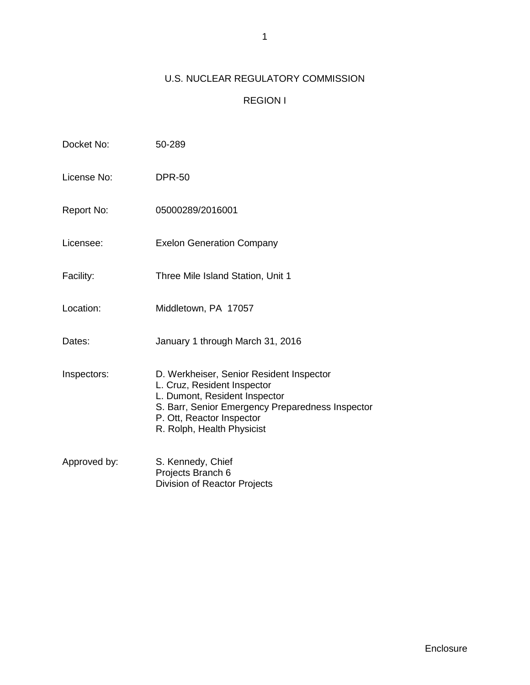# U.S. NUCLEAR REGULATORY COMMISSION

# REGION I

| Docket No:   | 50-289                                                                                                                                                                                                                  |
|--------------|-------------------------------------------------------------------------------------------------------------------------------------------------------------------------------------------------------------------------|
| License No:  | <b>DPR-50</b>                                                                                                                                                                                                           |
| Report No:   | 05000289/2016001                                                                                                                                                                                                        |
| Licensee:    | <b>Exelon Generation Company</b>                                                                                                                                                                                        |
| Facility:    | Three Mile Island Station, Unit 1                                                                                                                                                                                       |
| Location:    | Middletown, PA 17057                                                                                                                                                                                                    |
| Dates:       | January 1 through March 31, 2016                                                                                                                                                                                        |
| Inspectors:  | D. Werkheiser, Senior Resident Inspector<br>L. Cruz, Resident Inspector<br>L. Dumont, Resident Inspector<br>S. Barr, Senior Emergency Preparedness Inspector<br>P. Ott, Reactor Inspector<br>R. Rolph, Health Physicist |
| Approved by: | S. Kennedy, Chief<br>Projects Branch 6<br><b>Division of Reactor Projects</b>                                                                                                                                           |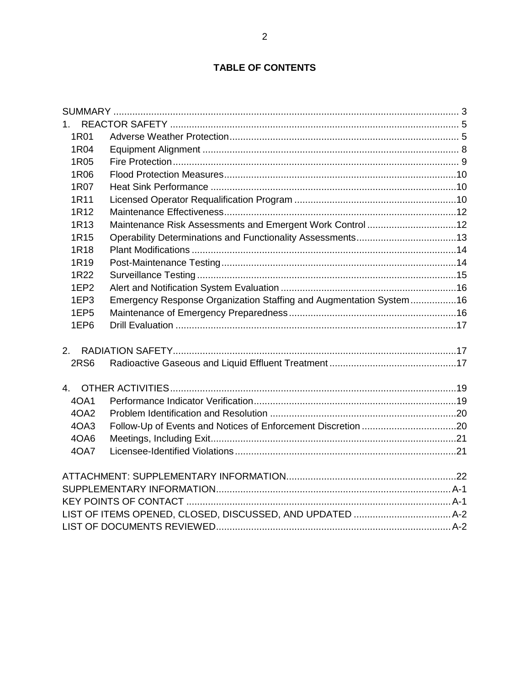# **TABLE OF CONTENTS**

<span id="page-4-0"></span>

| 1R01             |                                                                    |  |
|------------------|--------------------------------------------------------------------|--|
| 1R04             |                                                                    |  |
| 1R05             |                                                                    |  |
| 1R06             |                                                                    |  |
| 1R07             |                                                                    |  |
| 1R11             |                                                                    |  |
| 1R12             |                                                                    |  |
| 1R <sub>13</sub> | Maintenance Risk Assessments and Emergent Work Control 12          |  |
| 1R <sub>15</sub> |                                                                    |  |
| 1R18             |                                                                    |  |
| 1R19             |                                                                    |  |
| 1R22             |                                                                    |  |
| 1EP <sub>2</sub> |                                                                    |  |
| 1EP3             | Emergency Response Organization Staffing and Augmentation System16 |  |
| 1EP <sub>5</sub> |                                                                    |  |
| 1EP6             |                                                                    |  |
|                  |                                                                    |  |
| <b>2RS6</b>      |                                                                    |  |
| 4 <sup>1</sup>   |                                                                    |  |
| 40A1             |                                                                    |  |
| 4OA2             |                                                                    |  |
| 4OA3             |                                                                    |  |
| 4OA6             |                                                                    |  |
| 40A7             |                                                                    |  |
|                  |                                                                    |  |
|                  |                                                                    |  |
|                  |                                                                    |  |
|                  |                                                                    |  |
|                  |                                                                    |  |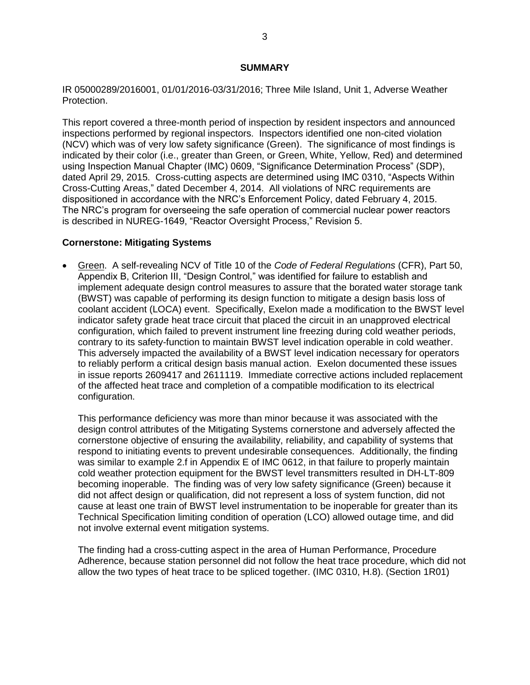## **SUMMARY**

IR 05000289/2016001, 01/01/2016-03/31/2016; Three Mile Island, Unit 1, Adverse Weather Protection.

This report covered a three-month period of inspection by resident inspectors and announced inspections performed by regional inspectors. Inspectors identified one non-cited violation (NCV) which was of very low safety significance (Green). The significance of most findings is indicated by their color (i.e., greater than Green, or Green, White, Yellow, Red) and determined using Inspection Manual Chapter (IMC) 0609, "Significance Determination Process" (SDP), dated April 29, 2015. Cross-cutting aspects are determined using IMC 0310, "Aspects Within Cross-Cutting Areas," dated December 4, 2014. All violations of NRC requirements are dispositioned in accordance with the NRC's Enforcement Policy, dated February 4, 2015. The NRC's program for overseeing the safe operation of commercial nuclear power reactors is described in NUREG-1649, "Reactor Oversight Process," Revision 5.

## **Cornerstone: Mitigating Systems**

 Green. A self-revealing NCV of Title 10 of the *Code of Federal Regulations* (CFR), Part 50, Appendix B, Criterion III, "Design Control," was identified for failure to establish and implement adequate design control measures to assure that the borated water storage tank (BWST) was capable of performing its design function to mitigate a design basis loss of coolant accident (LOCA) event. Specifically, Exelon made a modification to the BWST level indicator safety grade heat trace circuit that placed the circuit in an unapproved electrical configuration, which failed to prevent instrument line freezing during cold weather periods, contrary to its safety-function to maintain BWST level indication operable in cold weather. This adversely impacted the availability of a BWST level indication necessary for operators to reliably perform a critical design basis manual action. Exelon documented these issues in issue reports 2609417 and 2611119. Immediate corrective actions included replacement of the affected heat trace and completion of a compatible modification to its electrical configuration.

This performance deficiency was more than minor because it was associated with the design control attributes of the Mitigating Systems cornerstone and adversely affected the cornerstone objective of ensuring the availability, reliability, and capability of systems that respond to initiating events to prevent undesirable consequences. Additionally, the finding was similar to example 2.f in Appendix E of IMC 0612, in that failure to properly maintain cold weather protection equipment for the BWST level transmitters resulted in DH-LT-809 becoming inoperable. The finding was of very low safety significance (Green) because it did not affect design or qualification, did not represent a loss of system function, did not cause at least one train of BWST level instrumentation to be inoperable for greater than its Technical Specification limiting condition of operation (LCO) allowed outage time, and did not involve external event mitigation systems.

The finding had a cross-cutting aspect in the area of Human Performance, Procedure Adherence, because station personnel did not follow the heat trace procedure, which did not allow the two types of heat trace to be spliced together. (IMC 0310, H.8). (Section 1R01)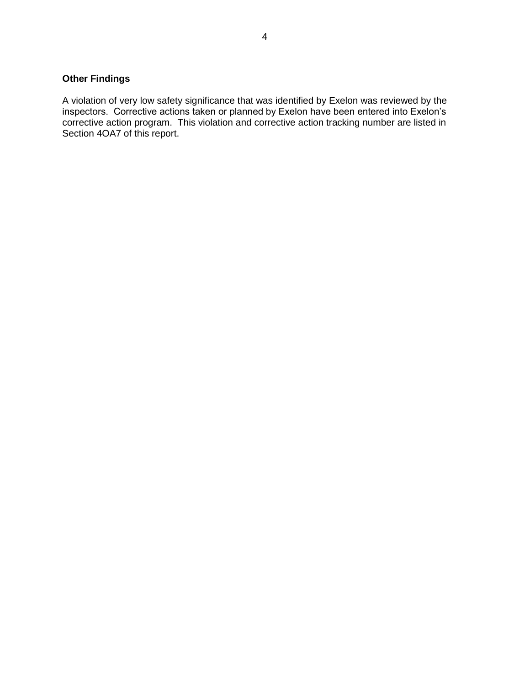# **Other Findings**

A violation of very low safety significance that was identified by Exelon was reviewed by the inspectors. Corrective actions taken or planned by Exelon have been entered into Exelon's corrective action program. This violation and corrective action tracking number are listed in Section 4OA7 of this report.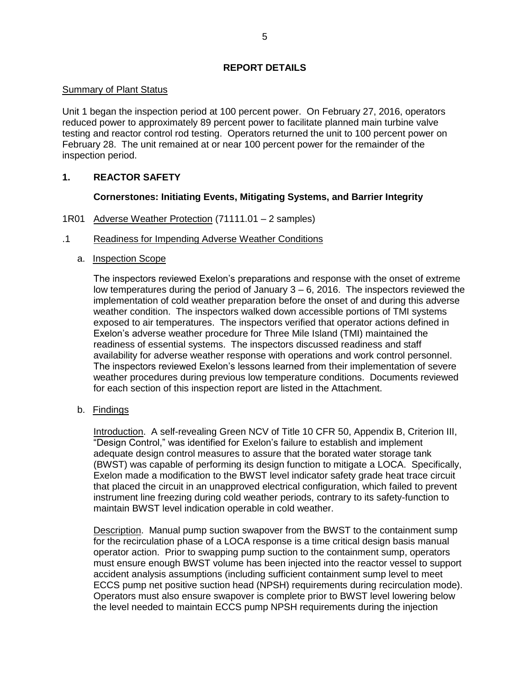## **REPORT DETAILS**

## Summary of Plant Status

Unit 1 began the inspection period at 100 percent power. On February 27, 2016, operators reduced power to approximately 89 percent power to facilitate planned main turbine valve testing and reactor control rod testing. Operators returned the unit to 100 percent power on February 28. The unit remained at or near 100 percent power for the remainder of the inspection period.

## <span id="page-7-0"></span>**1. REACTOR SAFETY**

## **Cornerstones: Initiating Events, Mitigating Systems, and Barrier Integrity**

<span id="page-7-1"></span>1R01 Adverse Weather Protection (71111.01 – 2 samples)

## .1 Readiness for Impending Adverse Weather Conditions

a. Inspection Scope

The inspectors reviewed Exelon's preparations and response with the onset of extreme low temperatures during the period of January 3 – 6, 2016. The inspectors reviewed the implementation of cold weather preparation before the onset of and during this adverse weather condition. The inspectors walked down accessible portions of TMI systems exposed to air temperatures. The inspectors verified that operator actions defined in Exelon's adverse weather procedure for Three Mile Island (TMI) maintained the readiness of essential systems. The inspectors discussed readiness and staff availability for adverse weather response with operations and work control personnel. The inspectors reviewed Exelon's lessons learned from their implementation of severe weather procedures during previous low temperature conditions. Documents reviewed for each section of this inspection report are listed in the Attachment.

b. Findings

Introduction. A self-revealing Green NCV of Title 10 CFR 50, Appendix B, Criterion III, "Design Control," was identified for Exelon's failure to establish and implement adequate design control measures to assure that the borated water storage tank (BWST) was capable of performing its design function to mitigate a LOCA. Specifically, Exelon made a modification to the BWST level indicator safety grade heat trace circuit that placed the circuit in an unapproved electrical configuration, which failed to prevent instrument line freezing during cold weather periods, contrary to its safety-function to maintain BWST level indication operable in cold weather.

Description. Manual pump suction swapover from the BWST to the containment sump for the recirculation phase of a LOCA response is a time critical design basis manual operator action. Prior to swapping pump suction to the containment sump, operators must ensure enough BWST volume has been injected into the reactor vessel to support accident analysis assumptions (including sufficient containment sump level to meet ECCS pump net positive suction head (NPSH) requirements during recirculation mode). Operators must also ensure swapover is complete prior to BWST level lowering below the level needed to maintain ECCS pump NPSH requirements during the injection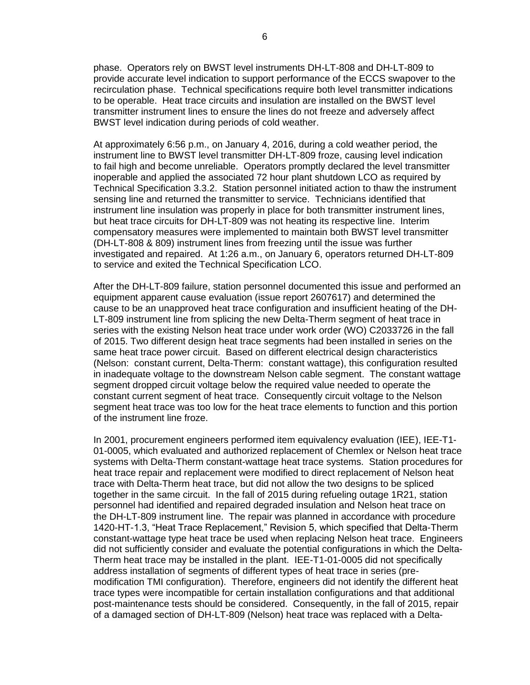phase. Operators rely on BWST level instruments DH-LT-808 and DH-LT-809 to provide accurate level indication to support performance of the ECCS swapover to the recirculation phase. Technical specifications require both level transmitter indications to be operable. Heat trace circuits and insulation are installed on the BWST level transmitter instrument lines to ensure the lines do not freeze and adversely affect BWST level indication during periods of cold weather.

At approximately 6:56 p.m., on January 4, 2016, during a cold weather period, the instrument line to BWST level transmitter DH-LT-809 froze, causing level indication to fail high and become unreliable. Operators promptly declared the level transmitter inoperable and applied the associated 72 hour plant shutdown LCO as required by Technical Specification 3.3.2. Station personnel initiated action to thaw the instrument sensing line and returned the transmitter to service. Technicians identified that instrument line insulation was properly in place for both transmitter instrument lines, but heat trace circuits for DH-LT-809 was not heating its respective line. Interim compensatory measures were implemented to maintain both BWST level transmitter (DH-LT-808 & 809) instrument lines from freezing until the issue was further investigated and repaired. At 1:26 a.m., on January 6, operators returned DH-LT-809 to service and exited the Technical Specification LCO.

After the DH-LT-809 failure, station personnel documented this issue and performed an equipment apparent cause evaluation (issue report 2607617) and determined the cause to be an unapproved heat trace configuration and insufficient heating of the DH-LT-809 instrument line from splicing the new Delta-Therm segment of heat trace in series with the existing Nelson heat trace under work order (WO) C2033726 in the fall of 2015. Two different design heat trace segments had been installed in series on the same heat trace power circuit. Based on different electrical design characteristics (Nelson: constant current, Delta-Therm: constant wattage), this configuration resulted in inadequate voltage to the downstream Nelson cable segment. The constant wattage segment dropped circuit voltage below the required value needed to operate the constant current segment of heat trace. Consequently circuit voltage to the Nelson segment heat trace was too low for the heat trace elements to function and this portion of the instrument line froze.

In 2001, procurement engineers performed item equivalency evaluation (IEE), IEE-T1- 01-0005, which evaluated and authorized replacement of Chemlex or Nelson heat trace systems with Delta-Therm constant-wattage heat trace systems. Station procedures for heat trace repair and replacement were modified to direct replacement of Nelson heat trace with Delta-Therm heat trace, but did not allow the two designs to be spliced together in the same circuit. In the fall of 2015 during refueling outage 1R21, station personnel had identified and repaired degraded insulation and Nelson heat trace on the DH-LT-809 instrument line. The repair was planned in accordance with procedure 1420-HT-1.3, "Heat Trace Replacement," Revision 5, which specified that Delta-Therm constant-wattage type heat trace be used when replacing Nelson heat trace. Engineers did not sufficiently consider and evaluate the potential configurations in which the Delta-Therm heat trace may be installed in the plant. IEE-T1-01-0005 did not specifically address installation of segments of different types of heat trace in series (premodification TMI configuration). Therefore, engineers did not identify the different heat trace types were incompatible for certain installation configurations and that additional post-maintenance tests should be considered. Consequently, in the fall of 2015, repair of a damaged section of DH-LT-809 (Nelson) heat trace was replaced with a Delta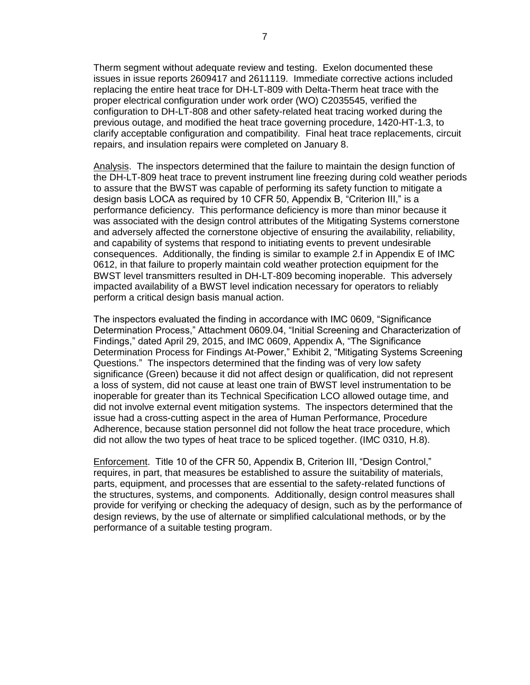Therm segment without adequate review and testing. Exelon documented these issues in issue reports 2609417 and 2611119. Immediate corrective actions included replacing the entire heat trace for DH-LT-809 with Delta-Therm heat trace with the proper electrical configuration under work order (WO) C2035545, verified the configuration to DH-LT-808 and other safety-related heat tracing worked during the previous outage, and modified the heat trace governing procedure, 1420-HT-1.3, to clarify acceptable configuration and compatibility. Final heat trace replacements, circuit repairs, and insulation repairs were completed on January 8.

Analysis. The inspectors determined that the failure to maintain the design function of the DH-LT-809 heat trace to prevent instrument line freezing during cold weather periods to assure that the BWST was capable of performing its safety function to mitigate a design basis LOCA as required by 10 CFR 50, Appendix B, "Criterion III," is a performance deficiency. This performance deficiency is more than minor because it was associated with the design control attributes of the Mitigating Systems cornerstone and adversely affected the cornerstone objective of ensuring the availability, reliability, and capability of systems that respond to initiating events to prevent undesirable consequences. Additionally, the finding is similar to example 2.f in Appendix E of IMC 0612, in that failure to properly maintain cold weather protection equipment for the BWST level transmitters resulted in DH-LT-809 becoming inoperable. This adversely impacted availability of a BWST level indication necessary for operators to reliably perform a critical design basis manual action.

The inspectors evaluated the finding in accordance with IMC 0609, "Significance Determination Process," Attachment 0609.04, "Initial Screening and Characterization of Findings," dated April 29, 2015, and IMC 0609, Appendix A, "The Significance Determination Process for Findings At-Power," Exhibit 2, "Mitigating Systems Screening Questions." The inspectors determined that the finding was of very low safety significance (Green) because it did not affect design or qualification, did not represent a loss of system, did not cause at least one train of BWST level instrumentation to be inoperable for greater than its Technical Specification LCO allowed outage time, and did not involve external event mitigation systems. The inspectors determined that the issue had a cross-cutting aspect in the area of Human Performance, Procedure Adherence, because station personnel did not follow the heat trace procedure, which did not allow the two types of heat trace to be spliced together. (IMC 0310, H.8).

Enforcement. Title 10 of the CFR 50, Appendix B, Criterion III, "Design Control," requires, in part, that measures be established to assure the suitability of materials, parts, equipment, and processes that are essential to the safety-related functions of the structures, systems, and components. Additionally, design control measures shall provide for verifying or checking the adequacy of design, such as by the performance of design reviews, by the use of alternate or simplified calculational methods, or by the performance of a suitable testing program.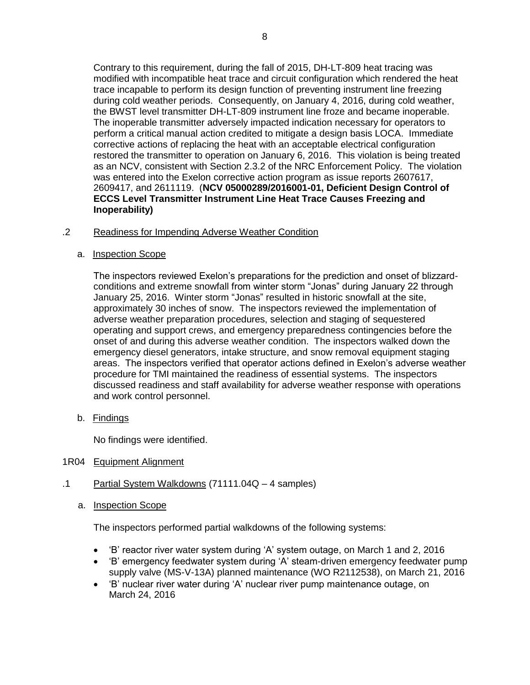Contrary to this requirement, during the fall of 2015, DH-LT-809 heat tracing was modified with incompatible heat trace and circuit configuration which rendered the heat trace incapable to perform its design function of preventing instrument line freezing during cold weather periods. Consequently, on January 4, 2016, during cold weather, the BWST level transmitter DH-LT-809 instrument line froze and became inoperable. The inoperable transmitter adversely impacted indication necessary for operators to perform a critical manual action credited to mitigate a design basis LOCA. Immediate corrective actions of replacing the heat with an acceptable electrical configuration restored the transmitter to operation on January 6, 2016. This violation is being treated as an NCV, consistent with Section 2.3.2 of the NRC Enforcement Policy. The violation was entered into the Exelon corrective action program as issue reports 2607617, 2609417, and 2611119. (**NCV 05000289/2016001-01, Deficient Design Control of ECCS Level Transmitter Instrument Line Heat Trace Causes Freezing and Inoperability)**

## .2 Readiness for Impending Adverse Weather Condition

a. Inspection Scope

The inspectors reviewed Exelon's preparations for the prediction and onset of blizzardconditions and extreme snowfall from winter storm "Jonas" during January 22 through January 25, 2016. Winter storm "Jonas" resulted in historic snowfall at the site, approximately 30 inches of snow. The inspectors reviewed the implementation of adverse weather preparation procedures, selection and staging of sequestered operating and support crews, and emergency preparedness contingencies before the onset of and during this adverse weather condition. The inspectors walked down the emergency diesel generators, intake structure, and snow removal equipment staging areas. The inspectors verified that operator actions defined in Exelon's adverse weather procedure for TMI maintained the readiness of essential systems. The inspectors discussed readiness and staff availability for adverse weather response with operations and work control personnel.

b. Findings

No findings were identified.

- <span id="page-10-0"></span>1R04 Equipment Alignment
- .1 Partial System Walkdowns (71111.04Q 4 samples)
	- a. Inspection Scope

The inspectors performed partial walkdowns of the following systems:

- 'B' reactor river water system during 'A' system outage, on March 1 and 2, 2016
- 'B' emergency feedwater system during 'A' steam-driven emergency feedwater pump supply valve (MS-V-13A) planned maintenance (WO R2112538), on March 21, 2016
- 'B' nuclear river water during 'A' nuclear river pump maintenance outage, on March 24, 2016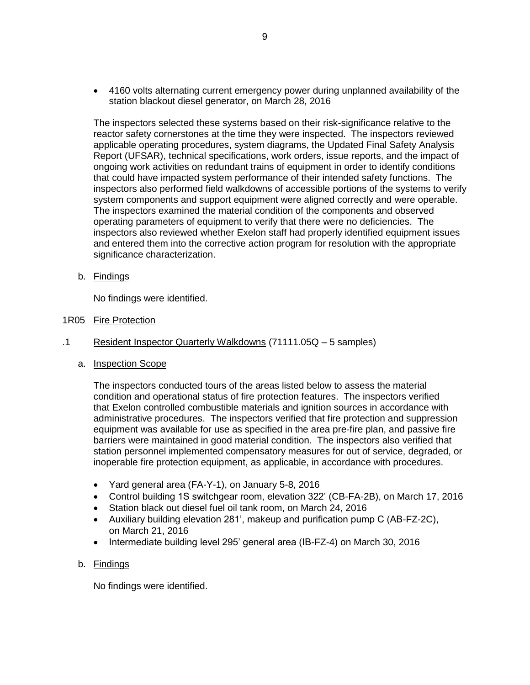4160 volts alternating current emergency power during unplanned availability of the station blackout diesel generator, on March 28, 2016

The inspectors selected these systems based on their risk-significance relative to the reactor safety cornerstones at the time they were inspected. The inspectors reviewed applicable operating procedures, system diagrams, the Updated Final Safety Analysis Report (UFSAR), technical specifications, work orders, issue reports, and the impact of ongoing work activities on redundant trains of equipment in order to identify conditions that could have impacted system performance of their intended safety functions. The inspectors also performed field walkdowns of accessible portions of the systems to verify system components and support equipment were aligned correctly and were operable. The inspectors examined the material condition of the components and observed operating parameters of equipment to verify that there were no deficiencies. The inspectors also reviewed whether Exelon staff had properly identified equipment issues and entered them into the corrective action program for resolution with the appropriate significance characterization.

b. Findings

No findings were identified.

- <span id="page-11-0"></span>1R05 Fire Protection
- .1 Resident Inspector Quarterly Walkdowns (71111.05Q 5 samples)
	- a. Inspection Scope

The inspectors conducted tours of the areas listed below to assess the material condition and operational status of fire protection features. The inspectors verified that Exelon controlled combustible materials and ignition sources in accordance with administrative procedures. The inspectors verified that fire protection and suppression equipment was available for use as specified in the area pre-fire plan, and passive fire barriers were maintained in good material condition. The inspectors also verified that station personnel implemented compensatory measures for out of service, degraded, or inoperable fire protection equipment, as applicable, in accordance with procedures.

- Yard general area (FA-Y-1), on January 5-8, 2016
- Control building 1S switchgear room, elevation 322' (CB-FA-2B), on March 17, 2016
- Station black out diesel fuel oil tank room, on March 24, 2016
- Auxiliary building elevation 281', makeup and purification pump C (AB-FZ-2C), on March 21, 2016
- Intermediate building level 295' general area (IB-FZ-4) on March 30, 2016

## b. Findings

<span id="page-11-1"></span>No findings were identified.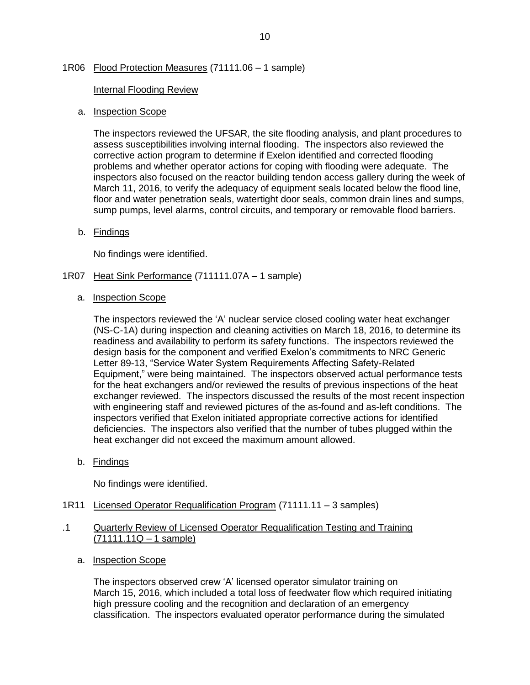## 1R06 Flood Protection Measures (71111.06 – 1 sample)

## Internal Flooding Review

## a. Inspection Scope

The inspectors reviewed the UFSAR, the site flooding analysis, and plant procedures to assess susceptibilities involving internal flooding. The inspectors also reviewed the corrective action program to determine if Exelon identified and corrected flooding problems and whether operator actions for coping with flooding were adequate. The inspectors also focused on the reactor building tendon access gallery during the week of March 11, 2016, to verify the adequacy of equipment seals located below the flood line, floor and water penetration seals, watertight door seals, common drain lines and sumps, sump pumps, level alarms, control circuits, and temporary or removable flood barriers.

b. Findings

No findings were identified.

- <span id="page-12-0"></span>1R07 Heat Sink Performance (711111.07A – 1 sample)
	- a. Inspection Scope

The inspectors reviewed the 'A' nuclear service closed cooling water heat exchanger (NS-C-1A) during inspection and cleaning activities on March 18, 2016, to determine its readiness and availability to perform its safety functions. The inspectors reviewed the design basis for the component and verified Exelon's commitments to NRC Generic Letter 89-13, "Service Water System Requirements Affecting Safety-Related Equipment," were being maintained. The inspectors observed actual performance tests for the heat exchangers and/or reviewed the results of previous inspections of the heat exchanger reviewed. The inspectors discussed the results of the most recent inspection with engineering staff and reviewed pictures of the as-found and as-left conditions. The inspectors verified that Exelon initiated appropriate corrective actions for identified deficiencies. The inspectors also verified that the number of tubes plugged within the heat exchanger did not exceed the maximum amount allowed.

b. Findings

No findings were identified.

<span id="page-12-1"></span>1R11 Licensed Operator Requalification Program (71111.11 – 3 samples)

## .1 Quarterly Review of Licensed Operator Requalification Testing and Training  $(71111.11Q - 1$  sample)

a. Inspection Scope

The inspectors observed crew 'A' licensed operator simulator training on March 15, 2016, which included a total loss of feedwater flow which required initiating high pressure cooling and the recognition and declaration of an emergency classification. The inspectors evaluated operator performance during the simulated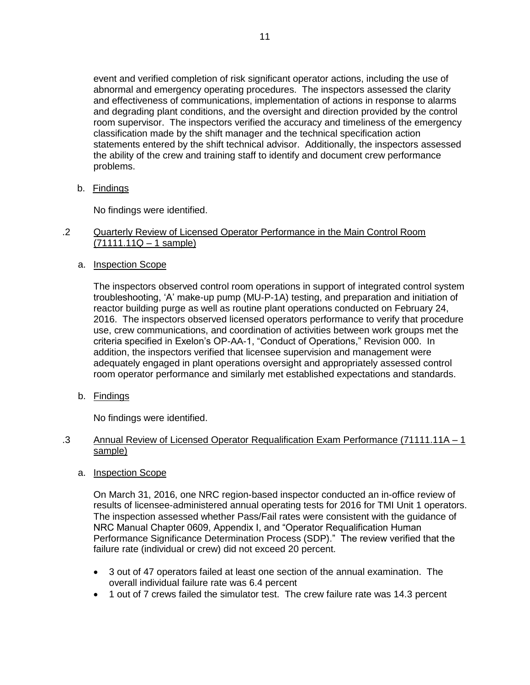event and verified completion of risk significant operator actions, including the use of abnormal and emergency operating procedures. The inspectors assessed the clarity and effectiveness of communications, implementation of actions in response to alarms and degrading plant conditions, and the oversight and direction provided by the control room supervisor. The inspectors verified the accuracy and timeliness of the emergency classification made by the shift manager and the technical specification action statements entered by the shift technical advisor. Additionally, the inspectors assessed the ability of the crew and training staff to identify and document crew performance problems.

b. Findings

No findings were identified.

## .2 Quarterly Review of Licensed Operator Performance in the Main Control Room (71111.11Q – 1 sample)

a. Inspection Scope

The inspectors observed control room operations in support of integrated control system troubleshooting, 'A' make-up pump (MU-P-1A) testing, and preparation and initiation of reactor building purge as well as routine plant operations conducted on February 24, 2016. The inspectors observed licensed operators performance to verify that procedure use, crew communications, and coordination of activities between work groups met the criteria specified in Exelon's OP-AA-1, "Conduct of Operations," Revision 000. In addition, the inspectors verified that licensee supervision and management were adequately engaged in plant operations oversight and appropriately assessed control room operator performance and similarly met established expectations and standards.

b. Findings

No findings were identified.

## .3 Annual Review of Licensed Operator Requalification Exam Performance (71111.11A – 1 sample)

a. Inspection Scope

On March 31, 2016, one NRC region-based inspector conducted an in-office review of results of licensee-administered annual operating tests for 2016 for TMI Unit 1 operators. The inspection assessed whether Pass/Fail rates were consistent with the guidance of NRC Manual Chapter 0609, Appendix I, and "Operator Requalification Human Performance Significance Determination Process (SDP)." The review verified that the failure rate (individual or crew) did not exceed 20 percent.

- 3 out of 47 operators failed at least one section of the annual examination. The overall individual failure rate was 6.4 percent
- 1 out of 7 crews failed the simulator test. The crew failure rate was 14.3 percent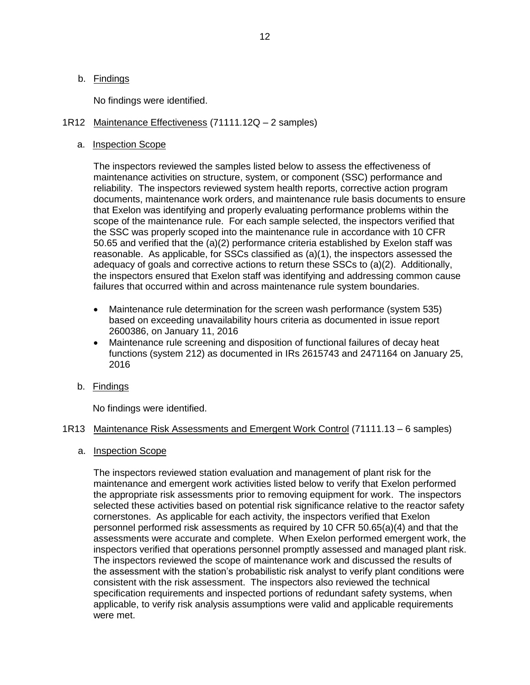No findings were identified.

## <span id="page-14-0"></span>1R12 Maintenance Effectiveness (71111.12Q – 2 samples)

## a. Inspection Scope

The inspectors reviewed the samples listed below to assess the effectiveness of maintenance activities on structure, system, or component (SSC) performance and reliability. The inspectors reviewed system health reports, corrective action program documents, maintenance work orders, and maintenance rule basis documents to ensure that Exelon was identifying and properly evaluating performance problems within the scope of the maintenance rule. For each sample selected, the inspectors verified that the SSC was properly scoped into the maintenance rule in accordance with 10 CFR 50.65 and verified that the (a)(2) performance criteria established by Exelon staff was reasonable. As applicable, for SSCs classified as (a)(1), the inspectors assessed the adequacy of goals and corrective actions to return these SSCs to (a)(2). Additionally, the inspectors ensured that Exelon staff was identifying and addressing common cause failures that occurred within and across maintenance rule system boundaries.

- Maintenance rule determination for the screen wash performance (system 535) based on exceeding unavailability hours criteria as documented in issue report 2600386, on January 11, 2016
- Maintenance rule screening and disposition of functional failures of decay heat functions (system 212) as documented in IRs 2615743 and 2471164 on January 25, 2016
- b. Findings

No findings were identified.

## <span id="page-14-1"></span>1R13 Maintenance Risk Assessments and Emergent Work Control (71111.13 – 6 samples)

a. Inspection Scope

The inspectors reviewed station evaluation and management of plant risk for the maintenance and emergent work activities listed below to verify that Exelon performed the appropriate risk assessments prior to removing equipment for work. The inspectors selected these activities based on potential risk significance relative to the reactor safety cornerstones. As applicable for each activity, the inspectors verified that Exelon personnel performed risk assessments as required by 10 CFR 50.65(a)(4) and that the assessments were accurate and complete. When Exelon performed emergent work, the inspectors verified that operations personnel promptly assessed and managed plant risk. The inspectors reviewed the scope of maintenance work and discussed the results of the assessment with the station's probabilistic risk analyst to verify plant conditions were consistent with the risk assessment. The inspectors also reviewed the technical specification requirements and inspected portions of redundant safety systems, when applicable, to verify risk analysis assumptions were valid and applicable requirements were met.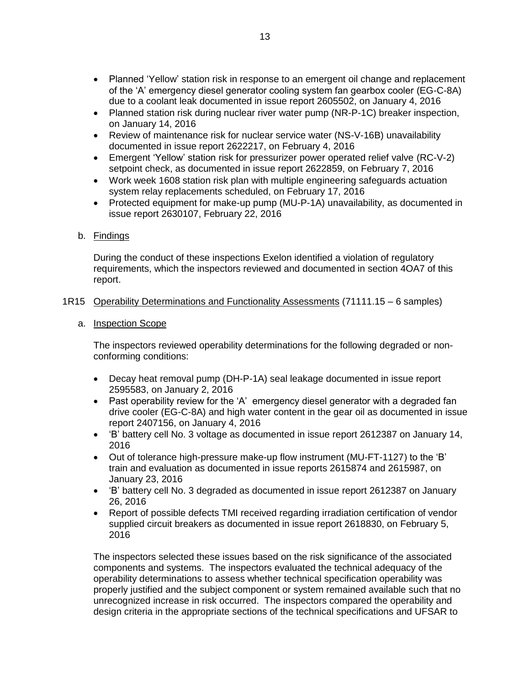- Planned 'Yellow' station risk in response to an emergent oil change and replacement of the 'A' emergency diesel generator cooling system fan gearbox cooler (EG-C-8A) due to a coolant leak documented in issue report 2605502, on January 4, 2016
- Planned station risk during nuclear river water pump (NR-P-1C) breaker inspection, on January 14, 2016
- Review of maintenance risk for nuclear service water (NS-V-16B) unavailability documented in issue report 2622217, on February 4, 2016
- Emergent 'Yellow' station risk for pressurizer power operated relief valve (RC-V-2) setpoint check, as documented in issue report 2622859, on February 7, 2016
- Work week 1608 station risk plan with multiple engineering safeguards actuation system relay replacements scheduled, on February 17, 2016
- Protected equipment for make-up pump (MU-P-1A) unavailability, as documented in issue report 2630107, February 22, 2016

## b. Findings

During the conduct of these inspections Exelon identified a violation of regulatory requirements, which the inspectors reviewed and documented in section 4OA7 of this report.

<span id="page-15-0"></span>1R15 Operability Determinations and Functionality Assessments (71111.15 – 6 samples)

## a. Inspection Scope

The inspectors reviewed operability determinations for the following degraded or nonconforming conditions:

- Decay heat removal pump (DH-P-1A) seal leakage documented in issue report 2595583, on January 2, 2016
- Past operability review for the 'A' emergency diesel generator with a degraded fan drive cooler (EG-C-8A) and high water content in the gear oil as documented in issue report 2407156, on January 4, 2016
- 'B' battery cell No. 3 voltage as documented in issue report 2612387 on January 14, 2016
- Out of tolerance high-pressure make-up flow instrument (MU-FT-1127) to the 'B' train and evaluation as documented in issue reports 2615874 and 2615987, on January 23, 2016
- 'B' battery cell No. 3 degraded as documented in issue report 2612387 on January 26, 2016
- Report of possible defects TMI received regarding irradiation certification of vendor supplied circuit breakers as documented in issue report 2618830, on February 5, 2016

The inspectors selected these issues based on the risk significance of the associated components and systems. The inspectors evaluated the technical adequacy of the operability determinations to assess whether technical specification operability was properly justified and the subject component or system remained available such that no unrecognized increase in risk occurred. The inspectors compared the operability and design criteria in the appropriate sections of the technical specifications and UFSAR to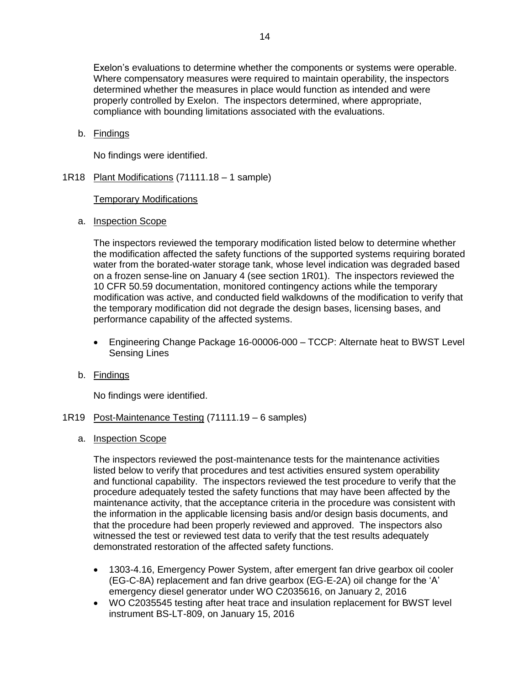Exelon's evaluations to determine whether the components or systems were operable. Where compensatory measures were required to maintain operability, the inspectors determined whether the measures in place would function as intended and were properly controlled by Exelon. The inspectors determined, where appropriate, compliance with bounding limitations associated with the evaluations.

b. Findings

No findings were identified.

<span id="page-16-0"></span>1R18 Plant Modifications (71111.18 – 1 sample)

Temporary Modifications

a. Inspection Scope

The inspectors reviewed the temporary modification listed below to determine whether the modification affected the safety functions of the supported systems requiring borated water from the borated-water storage tank, whose level indication was degraded based on a frozen sense-line on January 4 (see section 1R01). The inspectors reviewed the 10 CFR 50.59 documentation, monitored contingency actions while the temporary modification was active, and conducted field walkdowns of the modification to verify that the temporary modification did not degrade the design bases, licensing bases, and performance capability of the affected systems.

- Engineering Change Package 16-00006-000 TCCP: Alternate heat to BWST Level Sensing Lines
- b. Findings

No findings were identified.

- <span id="page-16-1"></span>1R19 Post-Maintenance Testing (71111.19 – 6 samples)
	- a. Inspection Scope

The inspectors reviewed the post-maintenance tests for the maintenance activities listed below to verify that procedures and test activities ensured system operability and functional capability. The inspectors reviewed the test procedure to verify that the procedure adequately tested the safety functions that may have been affected by the maintenance activity, that the acceptance criteria in the procedure was consistent with the information in the applicable licensing basis and/or design basis documents, and that the procedure had been properly reviewed and approved. The inspectors also witnessed the test or reviewed test data to verify that the test results adequately demonstrated restoration of the affected safety functions.

- 1303-4.16, Emergency Power System, after emergent fan drive gearbox oil cooler (EG-C-8A) replacement and fan drive gearbox (EG-E-2A) oil change for the 'A' emergency diesel generator under WO C2035616, on January 2, 2016
- WO C2035545 testing after heat trace and insulation replacement for BWST level instrument BS-LT-809, on January 15, 2016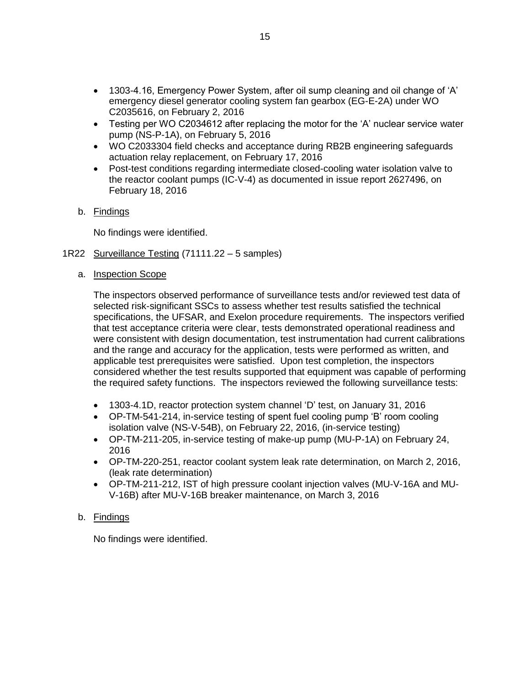- 1303-4.16, Emergency Power System, after oil sump cleaning and oil change of 'A' emergency diesel generator cooling system fan gearbox (EG-E-2A) under WO C2035616, on February 2, 2016
- Testing per WO C2034612 after replacing the motor for the 'A' nuclear service water pump (NS-P-1A), on February 5, 2016
- WO C2033304 field checks and acceptance during RB2B engineering safeguards actuation relay replacement, on February 17, 2016
- Post-test conditions regarding intermediate closed-cooling water isolation valve to the reactor coolant pumps (IC-V-4) as documented in issue report 2627496, on February 18, 2016

## b. Findings

No findings were identified.

- <span id="page-17-0"></span>1R22 Surveillance Testing (71111.22 – 5 samples)
	- a. **Inspection Scope**

The inspectors observed performance of surveillance tests and/or reviewed test data of selected risk-significant SSCs to assess whether test results satisfied the technical specifications, the UFSAR, and Exelon procedure requirements. The inspectors verified that test acceptance criteria were clear, tests demonstrated operational readiness and were consistent with design documentation, test instrumentation had current calibrations and the range and accuracy for the application, tests were performed as written, and applicable test prerequisites were satisfied. Upon test completion, the inspectors considered whether the test results supported that equipment was capable of performing the required safety functions. The inspectors reviewed the following surveillance tests:

- 1303-4.1D, reactor protection system channel 'D' test, on January 31, 2016
- OP-TM-541-214, in-service testing of spent fuel cooling pump 'B' room cooling isolation valve (NS-V-54B), on February 22, 2016, (in-service testing)
- OP-TM-211-205, in-service testing of make-up pump (MU-P-1A) on February 24, 2016
- OP-TM-220-251, reactor coolant system leak rate determination, on March 2, 2016, (leak rate determination)
- OP-TM-211-212, IST of high pressure coolant injection valves (MU-V-16A and MU-V-16B) after MU-V-16B breaker maintenance, on March 3, 2016

## b. Findings

No findings were identified.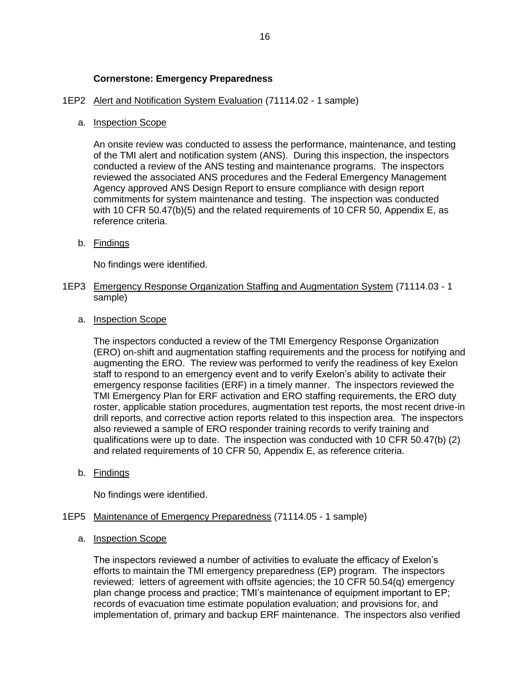## **Cornerstone: Emergency Preparedness**

## <span id="page-18-0"></span>1EP2 Alert and Notification System Evaluation (71114.02 - 1 sample)

## a. Inspection Scope

An onsite review was conducted to assess the performance, maintenance, and testing of the TMI alert and notification system (ANS). During this inspection, the inspectors conducted a review of the ANS testing and maintenance programs. The inspectors reviewed the associated ANS procedures and the Federal Emergency Management Agency approved ANS Design Report to ensure compliance with design report commitments for system maintenance and testing. The inspection was conducted with 10 CFR 50.47(b)(5) and the related requirements of 10 CFR 50, Appendix E, as reference criteria.

b. Findings

No findings were identified.

- <span id="page-18-1"></span>1EP3 Emergency Response Organization Staffing and Augmentation System (71114.03 - 1 sample)
	- a. Inspection Scope

The inspectors conducted a review of the TMI Emergency Response Organization (ERO) on-shift and augmentation staffing requirements and the process for notifying and augmenting the ERO. The review was performed to verify the readiness of key Exelon staff to respond to an emergency event and to verify Exelon's ability to activate their emergency response facilities (ERF) in a timely manner. The inspectors reviewed the TMI Emergency Plan for ERF activation and ERO staffing requirements, the ERO duty roster, applicable station procedures, augmentation test reports, the most recent drive-in drill reports, and corrective action reports related to this inspection area. The inspectors also reviewed a sample of ERO responder training records to verify training and qualifications were up to date. The inspection was conducted with 10 CFR 50.47(b) (2) and related requirements of 10 CFR 50, Appendix E, as reference criteria.

b. Findings

No findings were identified.

## <span id="page-18-2"></span>1EP5 Maintenance of Emergency Preparedness (71114.05 - 1 sample)

a. Inspection Scope

The inspectors reviewed a number of activities to evaluate the efficacy of Exelon's efforts to maintain the TMI emergency preparedness (EP) program. The inspectors reviewed: letters of agreement with offsite agencies; the 10 CFR 50.54(q) emergency plan change process and practice; TMI's maintenance of equipment important to EP; records of evacuation time estimate population evaluation; and provisions for, and implementation of, primary and backup ERF maintenance. The inspectors also verified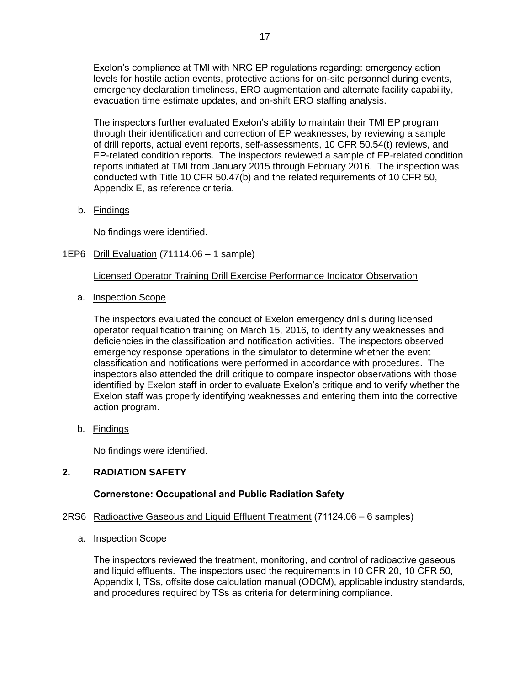Exelon's compliance at TMI with NRC EP regulations regarding: emergency action levels for hostile action events, protective actions for on-site personnel during events, emergency declaration timeliness, ERO augmentation and alternate facility capability, evacuation time estimate updates, and on-shift ERO staffing analysis.

The inspectors further evaluated Exelon's ability to maintain their TMI EP program through their identification and correction of EP weaknesses, by reviewing a sample of drill reports, actual event reports, self-assessments, 10 CFR 50.54(t) reviews, and EP-related condition reports. The inspectors reviewed a sample of EP-related condition reports initiated at TMI from January 2015 through February 2016. The inspection was conducted with Title 10 CFR 50.47(b) and the related requirements of 10 CFR 50, Appendix E, as reference criteria.

b. Findings

No findings were identified.

<span id="page-19-0"></span>1EP6 Drill Evaluation (71114.06 – 1 sample)

Licensed Operator Training Drill Exercise Performance Indicator Observation

a. Inspection Scope

The inspectors evaluated the conduct of Exelon emergency drills during licensed operator requalification training on March 15, 2016, to identify any weaknesses and deficiencies in the classification and notification activities. The inspectors observed emergency response operations in the simulator to determine whether the event classification and notifications were performed in accordance with procedures. The inspectors also attended the drill critique to compare inspector observations with those identified by Exelon staff in order to evaluate Exelon's critique and to verify whether the Exelon staff was properly identifying weaknesses and entering them into the corrective action program.

b. Findings

No findings were identified.

## <span id="page-19-1"></span>**2. RADIATION SAFETY**

## **Cornerstone: Occupational and Public Radiation Safety**

- <span id="page-19-2"></span>2RS6 Radioactive Gaseous and Liquid Effluent Treatment (71124.06 – 6 samples)
	- a. Inspection Scope

The inspectors reviewed the treatment, monitoring, and control of radioactive gaseous and liquid effluents. The inspectors used the requirements in 10 CFR 20, 10 CFR 50, Appendix I, TSs, offsite dose calculation manual (ODCM), applicable industry standards, and procedures required by TSs as criteria for determining compliance.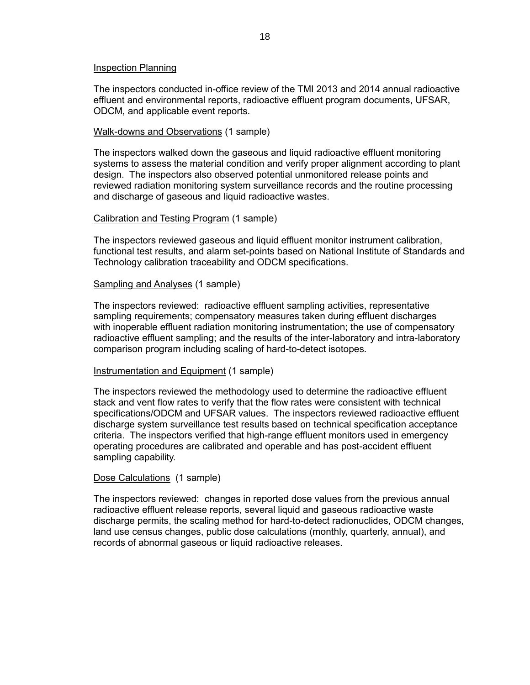#### Inspection Planning

The inspectors conducted in-office review of the TMI 2013 and 2014 annual radioactive effluent and environmental reports, radioactive effluent program documents, UFSAR, ODCM, and applicable event reports.

## Walk-downs and Observations (1 sample)

The inspectors walked down the gaseous and liquid radioactive effluent monitoring systems to assess the material condition and verify proper alignment according to plant design. The inspectors also observed potential unmonitored release points and reviewed radiation monitoring system surveillance records and the routine processing and discharge of gaseous and liquid radioactive wastes.

## Calibration and Testing Program (1 sample)

The inspectors reviewed gaseous and liquid effluent monitor instrument calibration, functional test results, and alarm set-points based on National Institute of Standards and Technology calibration traceability and ODCM specifications.

#### Sampling and Analyses (1 sample)

The inspectors reviewed: radioactive effluent sampling activities, representative sampling requirements; compensatory measures taken during effluent discharges with inoperable effluent radiation monitoring instrumentation; the use of compensatory radioactive effluent sampling; and the results of the inter-laboratory and intra-laboratory comparison program including scaling of hard-to-detect isotopes.

#### Instrumentation and Equipment (1 sample)

The inspectors reviewed the methodology used to determine the radioactive effluent stack and vent flow rates to verify that the flow rates were consistent with technical specifications/ODCM and UFSAR values. The inspectors reviewed radioactive effluent discharge system surveillance test results based on technical specification acceptance criteria. The inspectors verified that high-range effluent monitors used in emergency operating procedures are calibrated and operable and has post-accident effluent sampling capability.

## Dose Calculations (1 sample)

The inspectors reviewed: changes in reported dose values from the previous annual radioactive effluent release reports, several liquid and gaseous radioactive waste discharge permits, the scaling method for hard-to-detect radionuclides, ODCM changes, land use census changes, public dose calculations (monthly, quarterly, annual), and records of abnormal gaseous or liquid radioactive releases.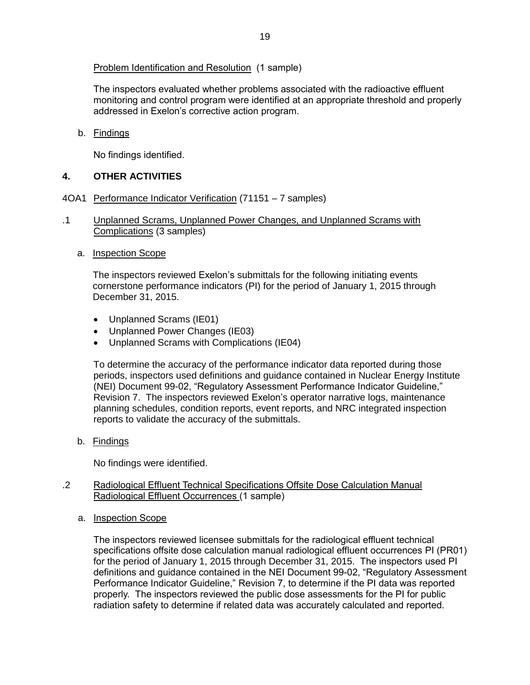Problem Identification and Resolution (1 sample)

The inspectors evaluated whether problems associated with the radioactive effluent monitoring and control program were identified at an appropriate threshold and properly addressed in Exelon's corrective action program.

b. Findings

No findings identified.

## <span id="page-21-0"></span>**4. OTHER ACTIVITIES**

- <span id="page-21-1"></span>4OA1 Performance Indicator Verification (71151 – 7 samples)
- .1 Unplanned Scrams, Unplanned Power Changes, and Unplanned Scrams with Complications (3 samples)
	- a. Inspection Scope

The inspectors reviewed Exelon's submittals for the following initiating events cornerstone performance indicators (PI) for the period of January 1, 2015 through December 31, 2015.

- Unplanned Scrams (IE01)
- Unplanned Power Changes (IE03)
- Unplanned Scrams with Complications (IE04)

To determine the accuracy of the performance indicator data reported during those periods, inspectors used definitions and guidance contained in Nuclear Energy Institute (NEI) Document 99-02, "Regulatory Assessment Performance Indicator Guideline," Revision 7. The inspectors reviewed Exelon's operator narrative logs, maintenance planning schedules, condition reports, event reports, and NRC integrated inspection reports to validate the accuracy of the submittals.

b. Findings

No findings were identified.

- .2 Radiological Effluent Technical Specifications Offsite Dose Calculation Manual Radiological Effluent Occurrences (1 sample)
	- a. Inspection Scope

The inspectors reviewed licensee submittals for the radiological effluent technical specifications offsite dose calculation manual radiological effluent occurrences PI (PR01) for the period of January 1, 2015 through December 31, 2015. The inspectors used PI definitions and guidance contained in the NEI Document 99-02, "Regulatory Assessment Performance Indicator Guideline," Revision 7, to determine if the PI data was reported properly. The inspectors reviewed the public dose assessments for the PI for public radiation safety to determine if related data was accurately calculated and reported.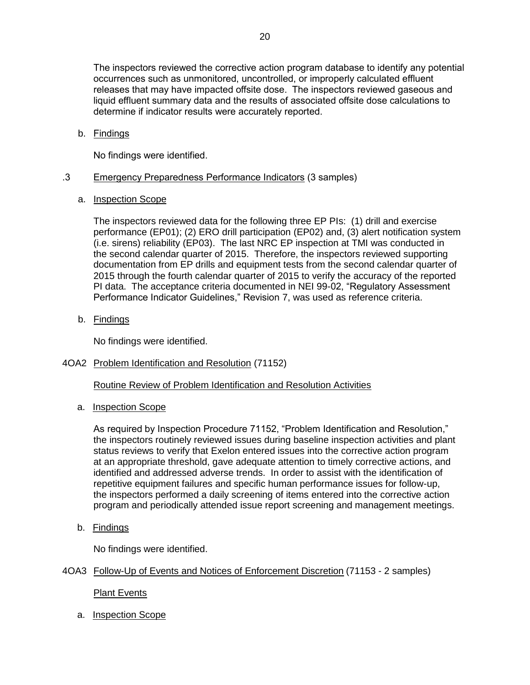The inspectors reviewed the corrective action program database to identify any potential occurrences such as unmonitored, uncontrolled, or improperly calculated effluent releases that may have impacted offsite dose. The inspectors reviewed gaseous and liquid effluent summary data and the results of associated offsite dose calculations to determine if indicator results were accurately reported.

b. Findings

No findings were identified.

## .3 Emergency Preparedness Performance Indicators (3 samples)

a. Inspection Scope

The inspectors reviewed data for the following three EP PIs: (1) drill and exercise performance (EP01); (2) ERO drill participation (EP02) and, (3) alert notification system (i.e. sirens) reliability (EP03). The last NRC EP inspection at TMI was conducted in the second calendar quarter of 2015. Therefore, the inspectors reviewed supporting documentation from EP drills and equipment tests from the second calendar quarter of 2015 through the fourth calendar quarter of 2015 to verify the accuracy of the reported PI data. The acceptance criteria documented in NEI 99-02, "Regulatory Assessment Performance Indicator Guidelines," Revision 7, was used as reference criteria.

b. Findings

No findings were identified.

<span id="page-22-0"></span>4OA2 Problem Identification and Resolution (71152)

Routine Review of Problem Identification and Resolution Activities

a. Inspection Scope

As required by Inspection Procedure 71152, "Problem Identification and Resolution," the inspectors routinely reviewed issues during baseline inspection activities and plant status reviews to verify that Exelon entered issues into the corrective action program at an appropriate threshold, gave adequate attention to timely corrective actions, and identified and addressed adverse trends. In order to assist with the identification of repetitive equipment failures and specific human performance issues for follow-up, the inspectors performed a daily screening of items entered into the corrective action program and periodically attended issue report screening and management meetings.

b. Findings

No findings were identified.

## <span id="page-22-1"></span>4OA3 Follow-Up of Events and Notices of Enforcement Discretion (71153 - 2 samples)

Plant Events

a. Inspection Scope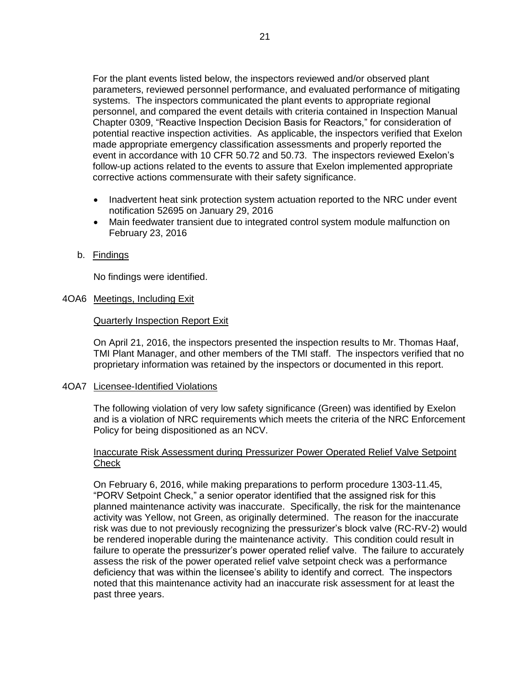For the plant events listed below, the inspectors reviewed and/or observed plant parameters, reviewed personnel performance, and evaluated performance of mitigating systems. The inspectors communicated the plant events to appropriate regional personnel, and compared the event details with criteria contained in Inspection Manual Chapter 0309, "Reactive Inspection Decision Basis for Reactors," for consideration of potential reactive inspection activities. As applicable, the inspectors verified that Exelon made appropriate emergency classification assessments and properly reported the event in accordance with 10 CFR 50.72 and 50.73. The inspectors reviewed Exelon's follow-up actions related to the events to assure that Exelon implemented appropriate corrective actions commensurate with their safety significance.

- Inadvertent heat sink protection system actuation reported to the NRC under event notification 52695 on January 29, 2016
- Main feedwater transient due to integrated control system module malfunction on February 23, 2016
- b. Findings

No findings were identified.

## <span id="page-23-0"></span>4OA6 Meetings, Including Exit

## Quarterly Inspection Report Exit

On April 21, 2016, the inspectors presented the inspection results to Mr. Thomas Haaf, TMI Plant Manager, and other members of the TMI staff. The inspectors verified that no proprietary information was retained by the inspectors or documented in this report.

## <span id="page-23-1"></span>4OA7 Licensee-Identified Violations

The following violation of very low safety significance (Green) was identified by Exelon and is a violation of NRC requirements which meets the criteria of the NRC Enforcement Policy for being dispositioned as an NCV.

## Inaccurate Risk Assessment during Pressurizer Power Operated Relief Valve Setpoint **Check**

On February 6, 2016, while making preparations to perform procedure 1303-11.45, "PORV Setpoint Check," a senior operator identified that the assigned risk for this planned maintenance activity was inaccurate. Specifically, the risk for the maintenance activity was Yellow, not Green, as originally determined. The reason for the inaccurate risk was due to not previously recognizing the pressurizer's block valve (RC-RV-2) would be rendered inoperable during the maintenance activity. This condition could result in failure to operate the pressurizer's power operated relief valve. The failure to accurately assess the risk of the power operated relief valve setpoint check was a performance deficiency that was within the licensee's ability to identify and correct. The inspectors noted that this maintenance activity had an inaccurate risk assessment for at least the past three years.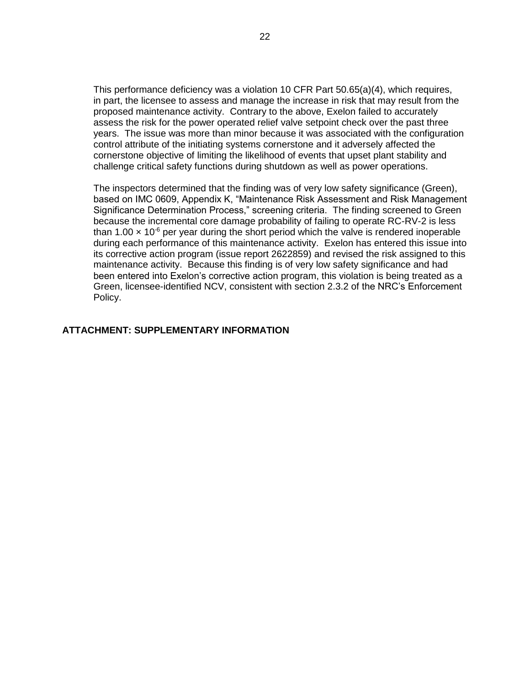This performance deficiency was a violation 10 CFR Part 50.65(a)(4), which requires, in part, the licensee to assess and manage the increase in risk that may result from the proposed maintenance activity. Contrary to the above, Exelon failed to accurately assess the risk for the power operated relief valve setpoint check over the past three years. The issue was more than minor because it was associated with the configuration control attribute of the initiating systems cornerstone and it adversely affected the cornerstone objective of limiting the likelihood of events that upset plant stability and challenge critical safety functions during shutdown as well as power operations.

The inspectors determined that the finding was of very low safety significance (Green), based on IMC 0609, Appendix K, "Maintenance Risk Assessment and Risk Management Significance Determination Process," screening criteria. The finding screened to Green because the incremental core damage probability of failing to operate RC-RV-2 is less than 1.00  $\times$  10<sup>-6</sup> per year during the short period which the valve is rendered inoperable during each performance of this maintenance activity. Exelon has entered this issue into its corrective action program (issue report 2622859) and revised the risk assigned to this maintenance activity. Because this finding is of very low safety significance and had been entered into Exelon's corrective action program, this violation is being treated as a Green, licensee-identified NCV, consistent with section 2.3.2 of the NRC's Enforcement Policy.

## <span id="page-24-0"></span>**ATTACHMENT: SUPPLEMENTARY INFORMATION**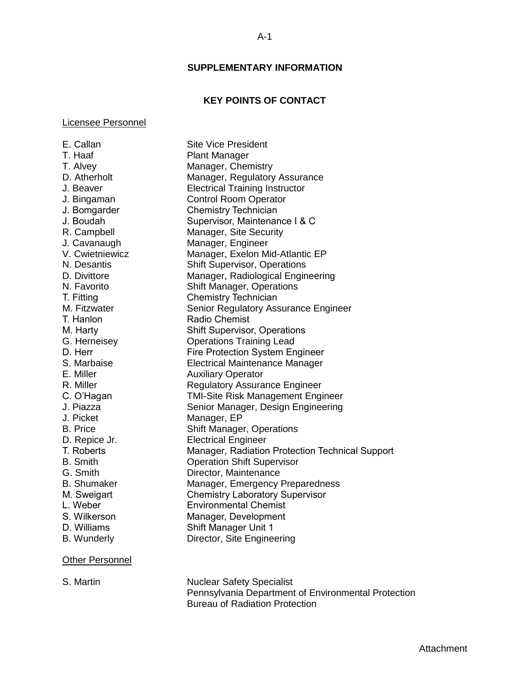## **SUPPLEMENTARY INFORMATION**

## **KEY POINTS OF CONTACT**

#### <span id="page-25-1"></span><span id="page-25-0"></span>Licensee Personnel

E. Callan Site Vice President T. Haaf Plant Manager T. Alvey Manager, Chemistry D. Atherholt Manager, Regulatory Assurance J. Beaver Electrical Training Instructor J. Bingaman Control Room Operator J. Bomgarder Chemistry Technician J. Boudah Supervisor, Maintenance I & C R. Campbell Manager, Site Security J. Cavanaugh Manager, Engineer V. Cwietniewicz Manager, Exelon Mid-Atlantic EP N. Desantis Shift Supervisor, Operations D. Divittore Manager, Radiological Engineering N. Favorito Shift Manager, Operations T. Fitting Chemistry Technician M. Fitzwater **Senior Regulatory Assurance Engineer** T. Hanlon Radio Chemist M. Harty **Shift Supervisor, Operations** G. Herneisey Operations Training Lead D. Herr Fire Protection System Engineer S. Marbaise Electrical Maintenance Manager E. Miller **Auxiliary Operator** R. Miller Regulatory Assurance Engineer C. O'Hagan TMI-Site Risk Management Engineer J. Piazza Senior Manager, Design Engineering J. Picket Manager, EP<br>
B. Price Shift Manage Shift Manager, Operations D. Repice Jr. **Electrical Engineer** T. Roberts Manager, Radiation Protection Technical Support B. Smith Operation Shift Supervisor G. Smith Director, Maintenance B. Shumaker Manager, Emergency Preparedness M. Sweigart **Chemistry Laboratory Supervisor** L. Weber Environmental Chemist S. Wilkerson Manager, Development D. Williams Shift Manager Unit 1 B. Wunderly **Director**, Site Engineering

## Other Personnel

S. Martin Nuclear Safety Specialist Pennsylvania Department of Environmental Protection Bureau of Radiation Protection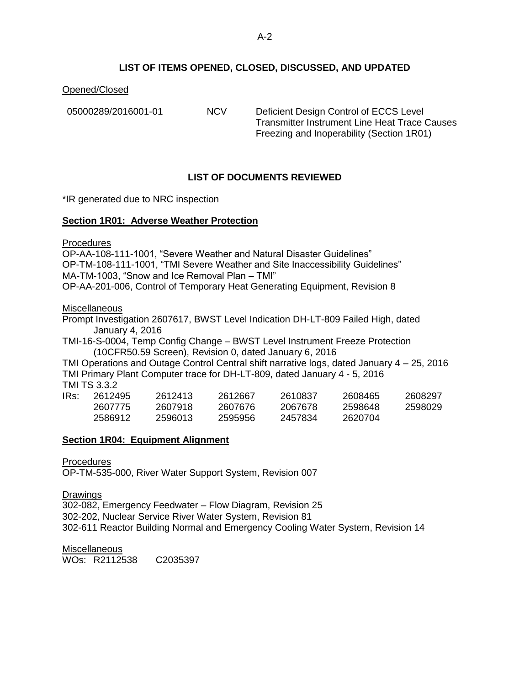## **LIST OF ITEMS OPENED, CLOSED, DISCUSSED, AND UPDATED**

## <span id="page-26-0"></span>Opened/Closed

05000289/2016001-01 NCV Deficient Design Control of ECCS Level Transmitter Instrument Line Heat Trace Causes Freezing and Inoperability (Section 1R01)

## **LIST OF DOCUMENTS REVIEWED**

<span id="page-26-1"></span>\*IR generated due to NRC inspection

## **Section 1R01: Adverse Weather Protection**

**Procedures** 

OP-AA-108-111-1001, "Severe Weather and Natural Disaster Guidelines" OP-TM-108-111-1001, "TMI Severe Weather and Site Inaccessibility Guidelines" MA-TM-1003, "Snow and Ice Removal Plan – TMI" OP-AA-201-006, Control of Temporary Heat Generating Equipment, Revision 8

Miscellaneous

Prompt Investigation 2607617, BWST Level Indication DH-LT-809 Failed High, dated January 4, 2016

TMI-16-S-0004, Temp Config Change – BWST Level Instrument Freeze Protection (10CFR50.59 Screen), Revision 0, dated January 6, 2016

TMI Operations and Outage Control Central shift narrative logs, dated January 4 – 25, 2016 TMI Primary Plant Computer trace for DH-LT-809, dated January 4 - 5, 2016 TMI TS 3.3.2

| IRs: | 2612495 | 2612413 | 2612667 | 2610837 | 2608465 | 2608297 |
|------|---------|---------|---------|---------|---------|---------|
|      | 2607775 | 2607918 | 2607676 | 2067678 | 2598648 | 2598029 |
|      | 2586912 | 2596013 | 2595956 | 2457834 | 2620704 |         |

## **Section 1R04: Equipment Alignment**

**Procedures** 

OP-TM-535-000, River Water Support System, Revision 007

**Drawings** 302-082, Emergency Feedwater – Flow Diagram, Revision 25 302-202, Nuclear Service River Water System, Revision 81 302-611 Reactor Building Normal and Emergency Cooling Water System, Revision 14

**Miscellaneous** WOs: R2112538 C2035397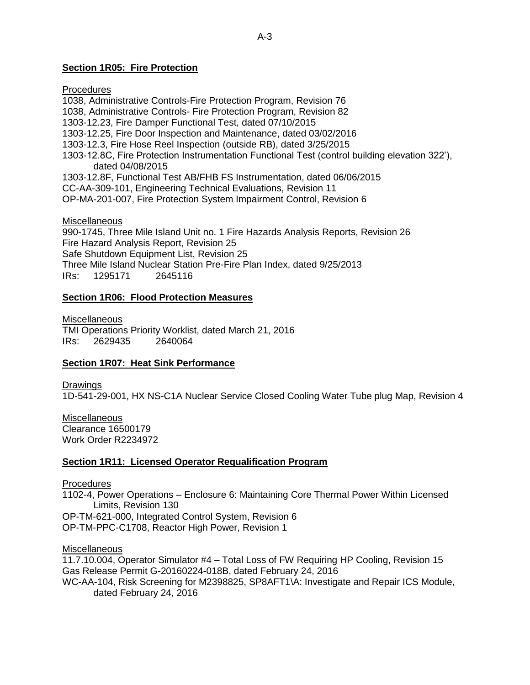## **Section 1R05: Fire Protection**

**Procedures** 1038, Administrative Controls-Fire Protection Program, Revision 76 1038, Administrative Controls- Fire Protection Program, Revision 82 1303-12.23, Fire Damper Functional Test, dated 07/10/2015 1303-12.25, Fire Door Inspection and Maintenance, dated 03/02/2016 1303-12.3, Fire Hose Reel Inspection (outside RB), dated 3/25/2015 1303-12.8C, Fire Protection Instrumentation Functional Test (control building elevation 322'), dated 04/08/2015 1303-12.8F, Functional Test AB/FHB FS Instrumentation, dated 06/06/2015 CC-AA-309-101, Engineering Technical Evaluations, Revision 11 OP-MA-201-007, Fire Protection System Impairment Control, Revision 6 Miscellaneous 990-1745, Three Mile Island Unit no. 1 Fire Hazards Analysis Reports, Revision 26

Fire Hazard Analysis Report, Revision 25 Safe Shutdown Equipment List, Revision 25 Three Mile Island Nuclear Station Pre-Fire Plan Index, dated 9/25/2013 IRs: 1295171 2645116

#### **Section 1R06: Flood Protection Measures**

Miscellaneous TMI Operations Priority Worklist, dated March 21, 2016 IRs: 2629435 2640064

#### **Section 1R07: Heat Sink Performance**

Drawings

1D-541-29-001, HX NS-C1A Nuclear Service Closed Cooling Water Tube plug Map, Revision 4

**Miscellaneous** Clearance 16500179 Work Order R2234972

#### **Section 1R11: Licensed Operator Requalification Program**

Procedures

1102-4, Power Operations – Enclosure 6: Maintaining Core Thermal Power Within Licensed Limits, Revision 130

OP-TM-621-000, Integrated Control System, Revision 6

OP-TM-PPC-C1708, Reactor High Power, Revision 1

**Miscellaneous** 

11.7.10.004, Operator Simulator #4 – Total Loss of FW Requiring HP Cooling, Revision 15 Gas Release Permit G-20160224-018B, dated February 24, 2016 WC-AA-104, Risk Screening for M2398825, SP8AFT1\A: Investigate and Repair ICS Module, dated February 24, 2016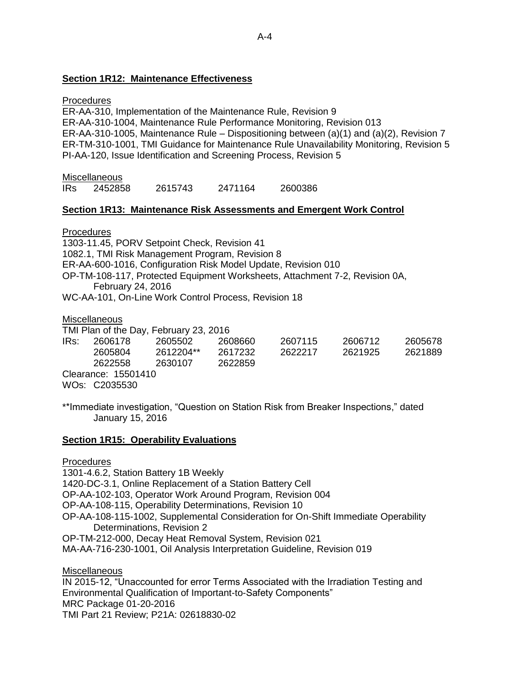## **Section 1R12: Maintenance Effectiveness**

## **Procedures**

ER-AA-310, Implementation of the Maintenance Rule, Revision 9 ER-AA-310-1004, Maintenance Rule Performance Monitoring, Revision 013 ER-AA-310-1005, Maintenance Rule – Dispositioning between (a)(1) and (a)(2), Revision 7 ER-TM-310-1001, TMI Guidance for Maintenance Rule Unavailability Monitoring, Revision 5 PI-AA-120, Issue Identification and Screening Process, Revision 5

#### **Miscellaneous**

IRs 2452858 2615743 2471164 2600386

## **Section 1R13: Maintenance Risk Assessments and Emergent Work Control**

## **Procedures**

1303-11.45, PORV Setpoint Check, Revision 41 1082.1, TMI Risk Management Program, Revision 8 ER-AA-600-1016, Configuration Risk Model Update, Revision 010 OP-TM-108-117, Protected Equipment Worksheets, Attachment 7-2, Revision 0A, February 24, 2016 WC-AA-101, On-Line Work Control Process, Revision 18

#### Miscellaneous

TMI Plan of the Day, February 23, 2016

|      |                     | .         |         |         |         |         |
|------|---------------------|-----------|---------|---------|---------|---------|
| IRs: | 2606178             | 2605502   | 2608660 | 2607115 | 2606712 | 2605678 |
|      | 2605804             | 2612204** | 2617232 | 2622217 | 2621925 | 2621889 |
|      | 2622558             | 2630107   | 2622859 |         |         |         |
|      | Clearance: 15501410 |           |         |         |         |         |

WOs: C2035530

\*\*Immediate investigation, "Question on Station Risk from Breaker Inspections," dated January 15, 2016

## **Section 1R15: Operability Evaluations**

## **Procedures**

1301-4.6.2, Station Battery 1B Weekly 1420-DC-3.1, Online Replacement of a Station Battery Cell OP-AA-102-103, Operator Work Around Program, Revision 004 OP-AA-108-115, Operability Determinations, Revision 10 OP-AA-108-115-1002, Supplemental Consideration for On-Shift Immediate Operability Determinations, Revision 2 OP-TM-212-000, Decay Heat Removal System, Revision 021 MA-AA-716-230-1001, Oil Analysis Interpretation Guideline, Revision 019 Miscellaneous

IN 2015-12, "Unaccounted for error Terms Associated with the Irradiation Testing and Environmental Qualification of Important-to-Safety Components" MRC Package 01-20-2016 TMI Part 21 Review; P21A: 02618830-02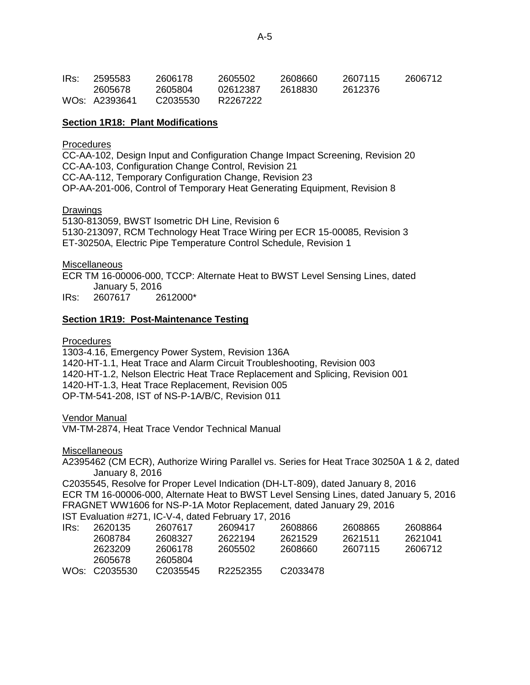| IRs: | 2595583       | 2606178  | 2605502  | 2608660 | 2607115 | 2606712 |
|------|---------------|----------|----------|---------|---------|---------|
|      | 2605678       | 2605804  | 02612387 | 2618830 | 2612376 |         |
|      | WOs: A2393641 | C2035530 | R2267222 |         |         |         |

## **Section 1R18: Plant Modifications**

## **Procedures**

CC-AA-102, Design Input and Configuration Change Impact Screening, Revision 20 CC-AA-103, Configuration Change Control, Revision 21 CC-AA-112, Temporary Configuration Change, Revision 23 OP-AA-201-006, Control of Temporary Heat Generating Equipment, Revision 8

## **Drawings**

5130-813059, BWST Isometric DH Line, Revision 6 5130-213097, RCM Technology Heat Trace Wiring per ECR 15-00085, Revision 3 ET-30250A, Electric Pipe Temperature Control Schedule, Revision 1

## **Miscellaneous**

ECR TM 16-00006-000, TCCP: Alternate Heat to BWST Level Sensing Lines, dated January 5, 2016

IRs: 2607617 2612000\*

## **Section 1R19: Post-Maintenance Testing**

**Procedures** 

1303-4.16, Emergency Power System, Revision 136A 1420-HT-1.1, Heat Trace and Alarm Circuit Troubleshooting, Revision 003 1420-HT-1.2, Nelson Electric Heat Trace Replacement and Splicing, Revision 001 1420-HT-1.3, Heat Trace Replacement, Revision 005 OP-TM-541-208, IST of NS-P-1A/B/C, Revision 011

Vendor Manual

VM-TM-2874, Heat Trace Vendor Technical Manual

**Miscellaneous** 

A2395462 (CM ECR), Authorize Wiring Parallel vs. Series for Heat Trace 30250A 1 & 2, dated January 8, 2016

C2035545, Resolve for Proper Level Indication (DH-LT-809), dated January 8, 2016 ECR TM 16-00006-000, Alternate Heat to BWST Level Sensing Lines, dated January 5, 2016 FRAGNET WW1606 for NS-P-1A Motor Replacement, dated January 29, 2016

IST Evaluation #271, IC-V-4, dated February 17, 2016

| IRs: | 2620135       | 2607617              | 2609417  | 2608866              | 2608865 | 2608864 |
|------|---------------|----------------------|----------|----------------------|---------|---------|
|      | 2608784       | 2608327              | 2622194  | 2621529              | 2621511 | 2621041 |
|      | 2623209       | 2606178              | 2605502  | 2608660              | 2607115 | 2606712 |
|      | 2605678       | 2605804              |          |                      |         |         |
|      | WOs: C2035530 | C <sub>2035545</sub> | R2252355 | C <sub>2033478</sub> |         |         |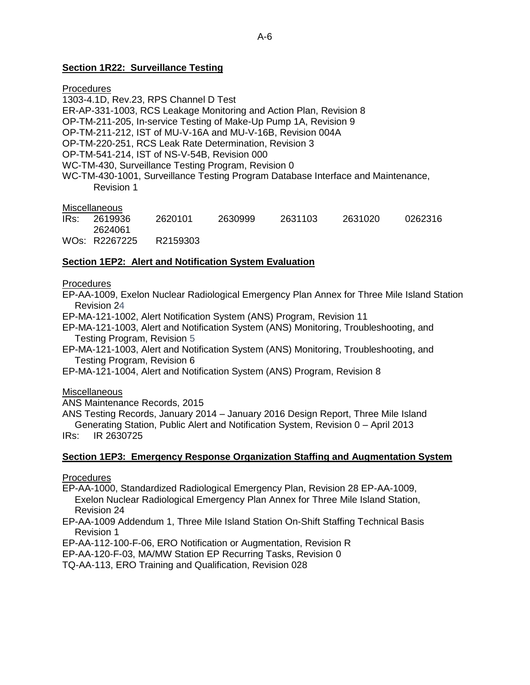## **Section 1R22: Surveillance Testing**

## Procedures

1303-4.1D, Rev.23, RPS Channel D Test ER-AP-331-1003, RCS Leakage Monitoring and Action Plan, Revision 8 OP-TM-211-205, In-service Testing of Make-Up Pump 1A, Revision 9 OP-TM-211-212, IST of MU-V-16A and MU-V-16B, Revision 004A OP-TM-220-251, RCS Leak Rate Determination, Revision 3 OP-TM-541-214, IST of NS-V-54B, Revision 000 WC-TM-430, Surveillance Testing Program, Revision 0 WC-TM-430-1001, Surveillance Testing Program Database Interface and Maintenance, Revision 1

## **Miscellaneous**

| 2619936       | 2620101 | 2630999  | 2631103 | 2631020 | 0262316 |
|---------------|---------|----------|---------|---------|---------|
| 2624061       |         |          |         |         |         |
| WOs: R2267225 |         |          |         |         |         |
|               |         | R2159303 |         |         |         |

## **Section 1EP2: Alert and Notification System Evaluation**

## **Procedures**

EP-AA-1009, Exelon Nuclear Radiological Emergency Plan Annex for Three Mile Island Station Revision 24

EP-MA-121-1002, Alert Notification System (ANS) Program, Revision 11

- EP-MA-121-1003, Alert and Notification System (ANS) Monitoring, Troubleshooting, and Testing Program, Revision 5
- EP-MA-121-1003, Alert and Notification System (ANS) Monitoring, Troubleshooting, and Testing Program, Revision 6
- EP-MA-121-1004, Alert and Notification System (ANS) Program, Revision 8

#### **Miscellaneous**

ANS Maintenance Records, 2015

ANS Testing Records, January 2014 – January 2016 Design Report, Three Mile Island

Generating Station, Public Alert and Notification System, Revision 0 – April 2013 IRs: IR 2630725

## **Section 1EP3: Emergency Response Organization Staffing and Augmentation System**

**Procedures** 

EP-AA-1000, Standardized Radiological Emergency Plan, Revision 28 EP-AA-1009, Exelon Nuclear Radiological Emergency Plan Annex for Three Mile Island Station, Revision 24

EP-AA-1009 Addendum 1, Three Mile Island Station On-Shift Staffing Technical Basis Revision 1

EP-AA-112-100-F-06, ERO Notification or Augmentation, Revision R

EP-AA-120-F-03, MA/MW Station EP Recurring Tasks, Revision 0

TQ-AA-113, ERO Training and Qualification, Revision 028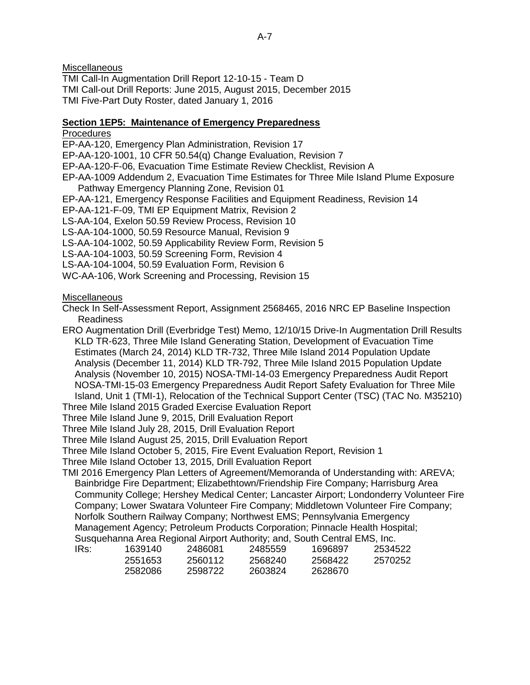**Miscellaneous** 

TMI Call-In Augmentation Drill Report 12-10-15 - Team D TMI Call-out Drill Reports: June 2015, August 2015, December 2015 TMI Five-Part Duty Roster, dated January 1, 2016

## **Section 1EP5: Maintenance of Emergency Preparedness**

**Procedures** 

EP-AA-120, Emergency Plan Administration, Revision 17

EP-AA-120-1001, 10 CFR 50.54(q) Change Evaluation, Revision 7

EP-AA-120-F-06, Evacuation Time Estimate Review Checklist, Revision A

- EP-AA-1009 Addendum 2, Evacuation Time Estimates for Three Mile Island Plume Exposure Pathway Emergency Planning Zone, Revision 01
- EP-AA-121, Emergency Response Facilities and Equipment Readiness, Revision 14

EP-AA-121-F-09, TMI EP Equipment Matrix, Revision 2

LS-AA-104, Exelon 50.59 Review Process, Revision 10

LS-AA-104-1000, 50.59 Resource Manual, Revision 9

LS-AA-104-1002, 50.59 Applicability Review Form, Revision 5

LS-AA-104-1003, 50.59 Screening Form, Revision 4

LS-AA-104-1004, 50.59 Evaluation Form, Revision 6

WC-AA-106, Work Screening and Processing, Revision 15

## **Miscellaneous**

Check In Self-Assessment Report, Assignment 2568465, 2016 NRC EP Baseline Inspection Readiness

ERO Augmentation Drill (Everbridge Test) Memo, 12/10/15 Drive-In Augmentation Drill Results KLD TR-623, Three Mile Island Generating Station, Development of Evacuation Time Estimates (March 24, 2014) KLD TR-732, Three Mile Island 2014 Population Update Analysis (December 11, 2014) KLD TR-792, Three Mile Island 2015 Population Update Analysis (November 10, 2015) NOSA-TMI-14-03 Emergency Preparedness Audit Report NOSA-TMI-15-03 Emergency Preparedness Audit Report Safety Evaluation for Three Mile Island, Unit 1 (TMI-1), Relocation of the Technical Support Center (TSC) (TAC No. M35210)

Three Mile Island 2015 Graded Exercise Evaluation Report

Three Mile Island June 9, 2015, Drill Evaluation Report

Three Mile Island July 28, 2015, Drill Evaluation Report

Three Mile Island August 25, 2015, Drill Evaluation Report

Three Mile Island October 5, 2015, Fire Event Evaluation Report, Revision 1

Three Mile Island October 13, 2015, Drill Evaluation Report

TMI 2016 Emergency Plan Letters of Agreement/Memoranda of Understanding with: AREVA; Bainbridge Fire Department; Elizabethtown/Friendship Fire Company; Harrisburg Area Community College; Hershey Medical Center; Lancaster Airport; Londonderry Volunteer Fire Company; Lower Swatara Volunteer Fire Company; Middletown Volunteer Fire Company; Norfolk Southern Railway Company; Northwest EMS; Pennsylvania Emergency Management Agency; Petroleum Products Corporation; Pinnacle Health Hospital; Susquehanna Area Regional Airport Authority; and, South Central EMS, Inc.

| IRs: | 1639140 | 2486081 | 2485559 | 1696897 | 2534522 |
|------|---------|---------|---------|---------|---------|
|      | 2551653 | 2560112 | 2568240 | 2568422 | 2570252 |
|      | 2582086 | 2598722 | 2603824 | 2628670 |         |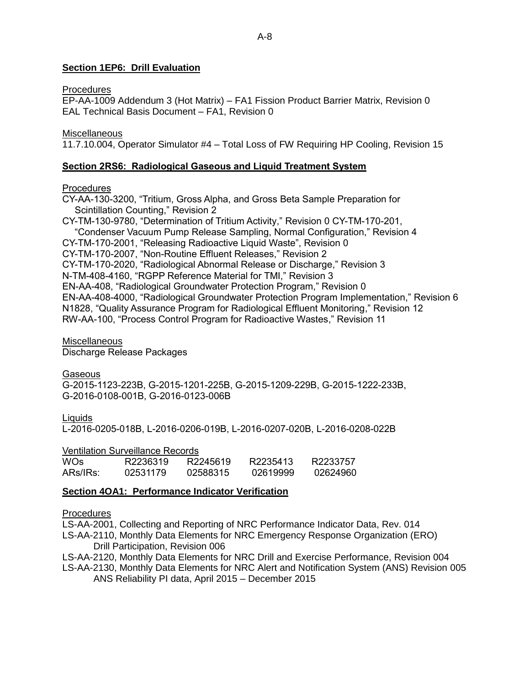## **Section 1EP6: Drill Evaluation**

#### **Procedures**

EP-AA-1009 Addendum 3 (Hot Matrix) – FA1 Fission Product Barrier Matrix, Revision 0 EAL Technical Basis Document – FA1, Revision 0

#### **Miscellaneous**

11.7.10.004, Operator Simulator #4 – Total Loss of FW Requiring HP Cooling, Revision 15

## **Section 2RS6: Radiological Gaseous and Liquid Treatment System**

## **Procedures**

CY-AA-130-3200, "Tritium, Gross Alpha, and Gross Beta Sample Preparation for Scintillation Counting," Revision 2

CY-TM-130-9780, "Determination of Tritium Activity," Revision 0 CY-TM-170-201, "Condenser Vacuum Pump Release Sampling, Normal Configuration," Revision 4 CY-TM-170-2001, "Releasing Radioactive Liquid Waste", Revision 0 CY-TM-170-2007, "Non-Routine Effluent Releases," Revision 2 CY-TM-170-2020, "Radiological Abnormal Release or Discharge," Revision 3 N-TM-408-4160, "RGPP Reference Material for TMI," Revision 3 EN-AA-408, "Radiological Groundwater Protection Program," Revision 0 EN-AA-408-4000, "Radiological Groundwater Protection Program Implementation," Revision 6 N1828, "Quality Assurance Program for Radiological Effluent Monitoring," Revision 12 RW-AA-100, "Process Control Program for Radioactive Wastes," Revision 11

## **Miscellaneous**

Discharge Release Packages

## **Gaseous**

G-2015-1123-223B, G-2015-1201-225B, G-2015-1209-229B, G-2015-1222-233B, G-2016-0108-001B, G-2016-0123-006B

**Liquids** 

L-2016-0205-018B, L-2016-0206-019B, L-2016-0207-020B, L-2016-0208-022B

Ventilation Surveillance Records

| WO <sub>S</sub> | R2236319 | R2245619 | R2235413 | R2233757 |
|-----------------|----------|----------|----------|----------|
| ARS/IRS:        | 02531179 | 02588315 | 02619999 | 02624960 |

## **Section 4OA1: Performance Indicator Verification**

## **Procedures**

LS-AA-2001, Collecting and Reporting of NRC Performance Indicator Data, Rev. 014

LS-AA-2110, Monthly Data Elements for NRC Emergency Response Organization (ERO) Drill Participation, Revision 006

LS-AA-2120, Monthly Data Elements for NRC Drill and Exercise Performance, Revision 004

LS-AA-2130, Monthly Data Elements for NRC Alert and Notification System (ANS) Revision 005 ANS Reliability PI data, April 2015 – December 2015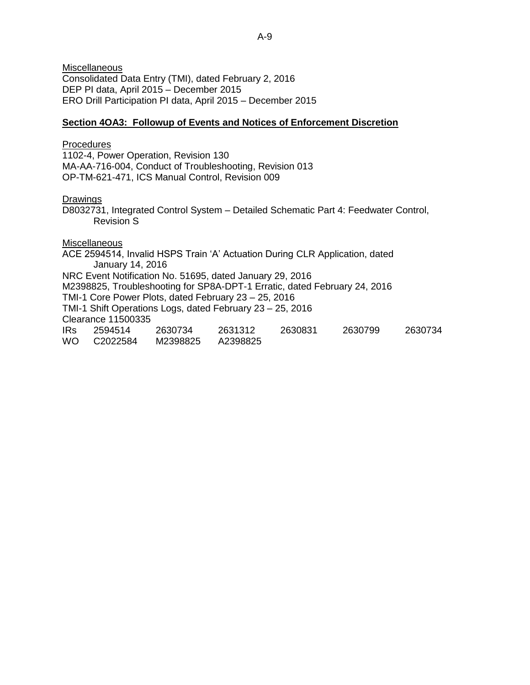**Miscellaneous** Consolidated Data Entry (TMI), dated February 2, 2016 DEP PI data, April 2015 – December 2015 ERO Drill Participation PI data, April 2015 – December 2015

#### **Section 4OA3: Followup of Events and Notices of Enforcement Discretion**

#### Procedures

1102-4, Power Operation, Revision 130 MA-AA-716-004, Conduct of Troubleshooting, Revision 013 OP-TM-621-471, ICS Manual Control, Revision 009

#### Drawings

D8032731, Integrated Control System – Detailed Schematic Part 4: Feedwater Control, Revision S

#### Miscellaneous

ACE 2594514, Invalid HSPS Train 'A' Actuation During CLR Application, dated January 14, 2016 NRC Event Notification No. 51695, dated January 29, 2016 M2398825, Troubleshooting for SP8A-DPT-1 Erratic, dated February 24, 2016 TMI-1 Core Power Plots, dated February 23 – 25, 2016 TMI-1 Shift Operations Logs, dated February 23 – 25, 2016 Clearance 11500335 IRs 2594514 2630734 2631312 2630831 2630799 2630734 WO C2022584 M2398825 A2398825